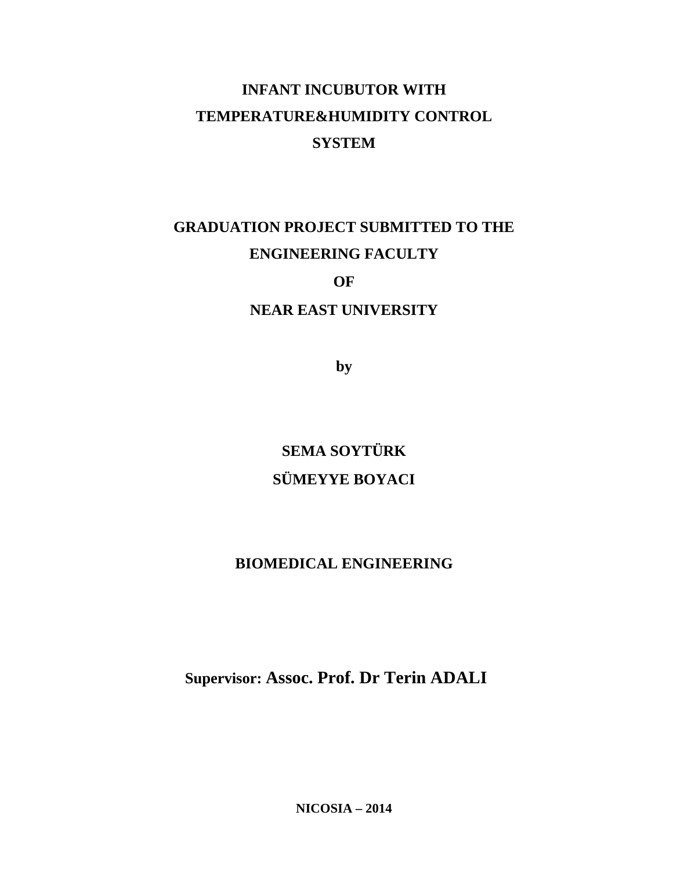# **INFANT INCUBUTOR WITH TEMPERATURE&HUMIDITY CONTROL SYSTEM**

# **GRADUATION PROJECT SUBMITTED TO THE ENGINEERING FACULTY**

# **OF**

# **NEAR EAST UNIVERSITY**

**by**

**SEMA SOYTÜRK SÜMEYYE BOYACI**

# **BIOMEDICAL ENGINEERING**

**Supervisor: Assoc. Prof. Dr Terin ADALI**

**NICOSIA – 2014**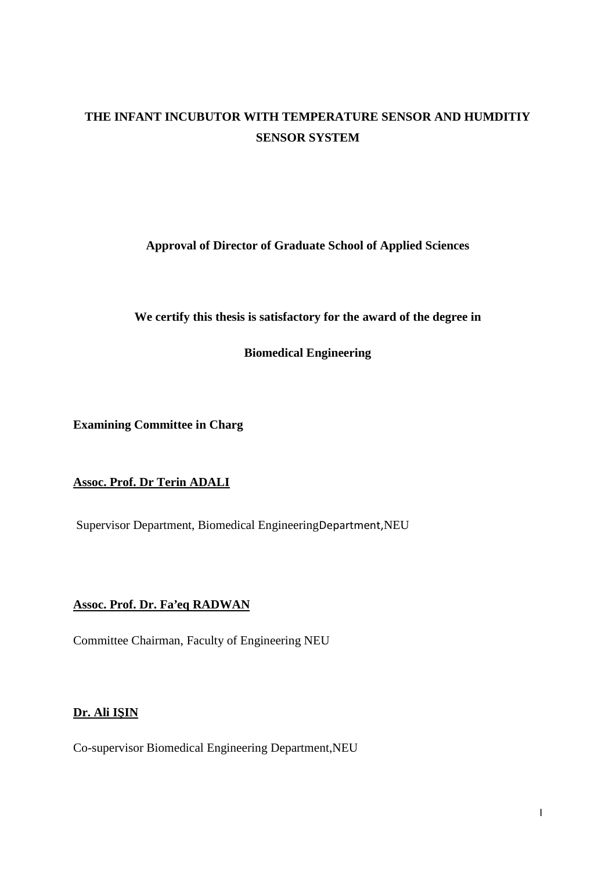# **THE INFANT INCUBUTOR WITH TEMPERATURE SENSOR AND HUMDITIY SENSOR SYSTEM**

**Approval of Director of Graduate School of Applied Sciences**

**We certify this thesis is satisfactory for the award of the degree in**

**Biomedical Engineering**

**Examining Committee in Charg**

# **Assoc. Prof. Dr Terin ADALI**

Supervisor Department, Biomedical EngineeringDepartment,NEU

# **Assoc. Prof. Dr. Fa'eq RADWAN**

Committee Chairman, Faculty of Engineering NEU

# **Dr. Ali I IN**

Co-supervisor Biomedical Engineering Department,NEU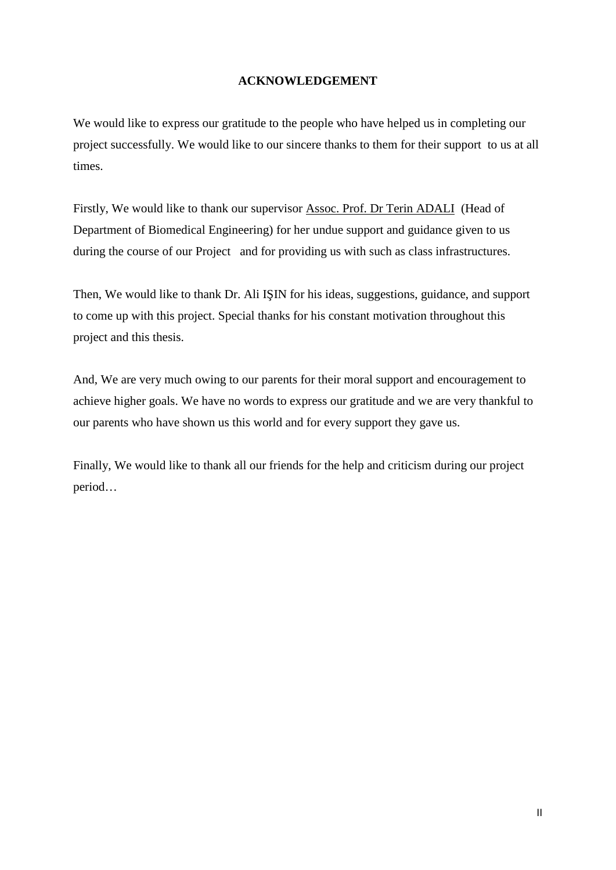### **ACKNOWLEDGEMENT**

We would like to express our gratitude to the people who have helped us in completing our project successfully. We would like to our sincere thanks to them for their support to us at all times.

Firstly, We would like to thank our supervisor Assoc. Prof. Dr Terin ADALI (Head of Department of Biomedical Engineering) for her undue support and guidance given to us during the course of our Project and for providing us with such as class infrastructures.

Then, We would like to thank Dr. Ali I IN for his ideas, suggestions, guidance, and support to come up with this project. Special thanks for his constant motivation throughout this project and this thesis.

And, We are very much owing to our parents for their moral support and encouragement to achieve higher goals. We have no words to express our gratitude and we are very thankful to our parents who have shown us this world and for every support they gave us.

Finally, We would like to thank all our friends for the help and criticism during our project period…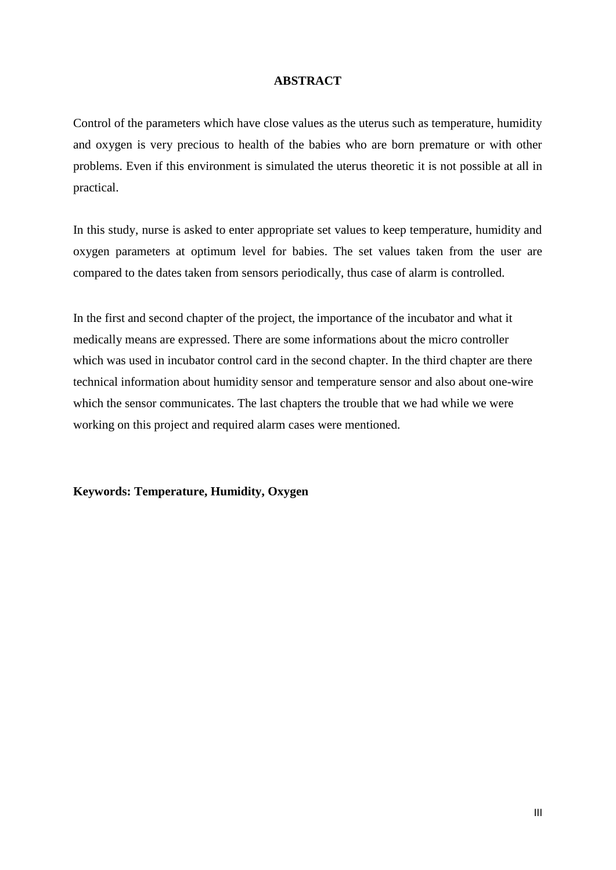#### **ABSTRACT**

Control of the parameters which have close values as the uterus such as temperature, humidity and oxygen is very precious to health of the babies who are born premature or with other problems. Even if this environment is simulated the uterus theoretic it is not possible at all in practical.

In this study, nurse is asked to enter appropriate set values to keep temperature, humidity and oxygen parameters at optimum level for babies. The set values taken from the user are compared to the dates taken from sensors periodically, thus case of alarm is controlled.

In the first and second chapter of the project, the importance of the incubator and what it medically means are expressed. There are some informations about the micro controller which was used in incubator control card in the second chapter. In the third chapter are there technical information about humidity sensor and temperature sensor and also about one-wire which the sensor communicates. The last chapters the trouble that we had while we were working on this project and required alarm cases were mentioned.

**Keywords: Temperature, Humidity, Oxygen**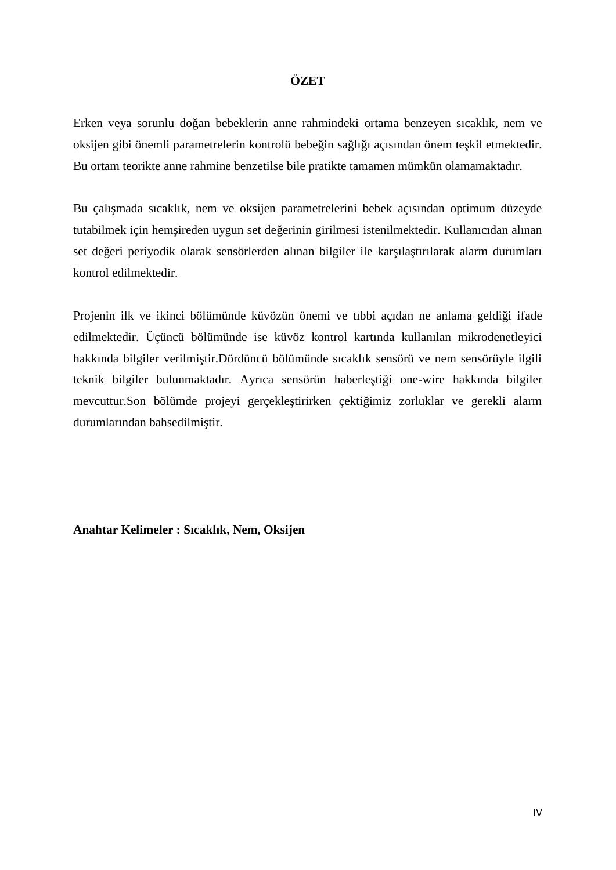### **ÖZET**

Erken veya sorunlu doğan bebeklerin anne rahmindeki ortama benzeyen sıcaklık, nem ve oksijen gibi önemli parametrelerin kontrolü bebe in sa lı 1 açısından önem te kil etmektedir. Bu ortam teorikte anne rahmine benzetilse bile pratikte tamamen mümkün olamamaktadır.

Bu çalı mada sıcaklık, nem ve oksijen parametrelerini bebek açısından optimum düzeyde tutabilmek için hem ireden uygun set de erinin girilmesi istenilmektedir. Kullanıcıdan alınan set de eri periyodik olarak sensörlerden alınan bilgiler ile kar ıla tırılarak alarm durumları kontrol edilmektedir.

Projenin ilk ve ikinci bölümünde küvözün önemi ve tıbbi açıdan ne anlama geldi i ifade edilmektedir. Üçüncü bölümünde ise küvöz kontrol kartında kullanılan mikrodenetleyici hakkında bilgiler verilmi tir.Dördüncü bölümünde sıcaklık sensörü ve nem sensörüyle ilgili teknik bilgiler bulunmaktadır. Ayrıca sensörün haberle ti i one-wire hakkında bilgiler mevcuttur.Son bölümde projeyi gerçekle tirirken çekti imiz zorluklar ve gerekli alarm durumlarından bahsedilmi tir.

**Anahtar Kelimeler : Sıcaklık, Nem, Oksijen**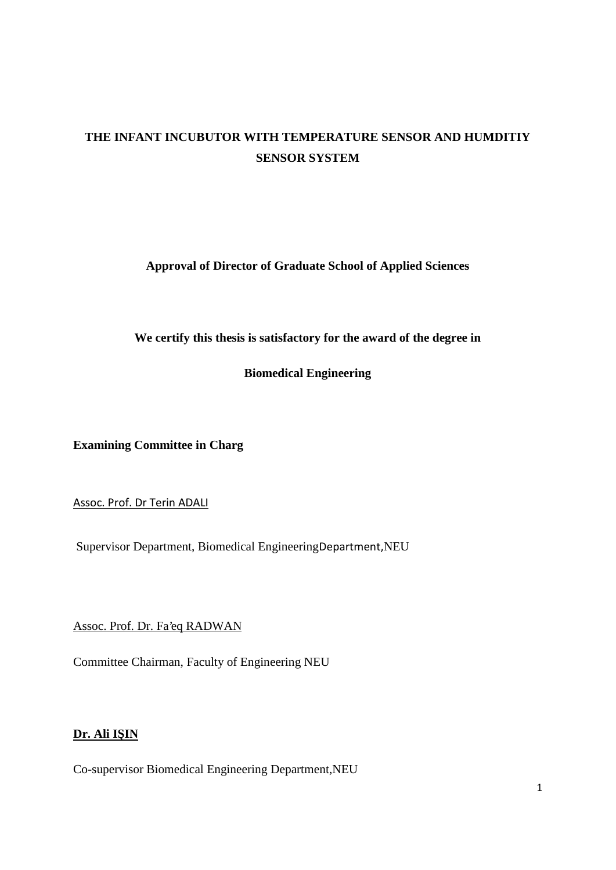# **THE INFANT INCUBUTOR WITH TEMPERATURE SENSOR AND HUMDITIY SENSOR SYSTEM**

**Approval of Director of Graduate School of Applied Sciences**

**We certify this thesis is satisfactory for the award of the degree in**

**Biomedical Engineering**

**Examining Committee in Charg**

Assoc. Prof. Dr Terin ADALI

Supervisor Department, Biomedical EngineeringDepartment,NEU

Assoc. Prof. Dr. Fa'eq RADWAN

Committee Chairman, Faculty of Engineering NEU

# **Dr. Ali I IN**

Co-supervisor Biomedical Engineering Department,NEU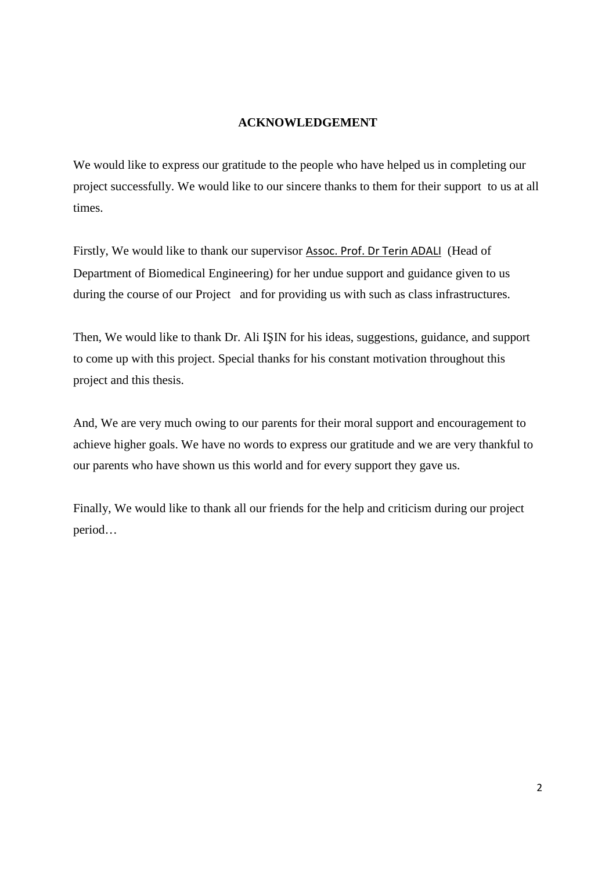# **ACKNOWLEDGEMENT**

We would like to express our gratitude to the people who have helped us in completing our project successfully. We would like to our sincere thanks to them for their support to us at all times.

Firstly, We would like to thank our supervisor Assoc. Prof. Dr Terin ADALI (Head of Department of Biomedical Engineering) for her undue support and guidance given to us during the course of our Project and for providing us with such as class infrastructures.

Then, We would like to thank Dr. Ali I IN for his ideas, suggestions, guidance, and support to come up with this project. Special thanks for his constant motivation throughout this project and this thesis.

And, We are very much owing to our parents for their moral support and encouragement to achieve higher goals. We have no words to express our gratitude and we are very thankful to our parents who have shown us this world and for every support they gave us.

Finally, We would like to thank all our friends for the help and criticism during our project period…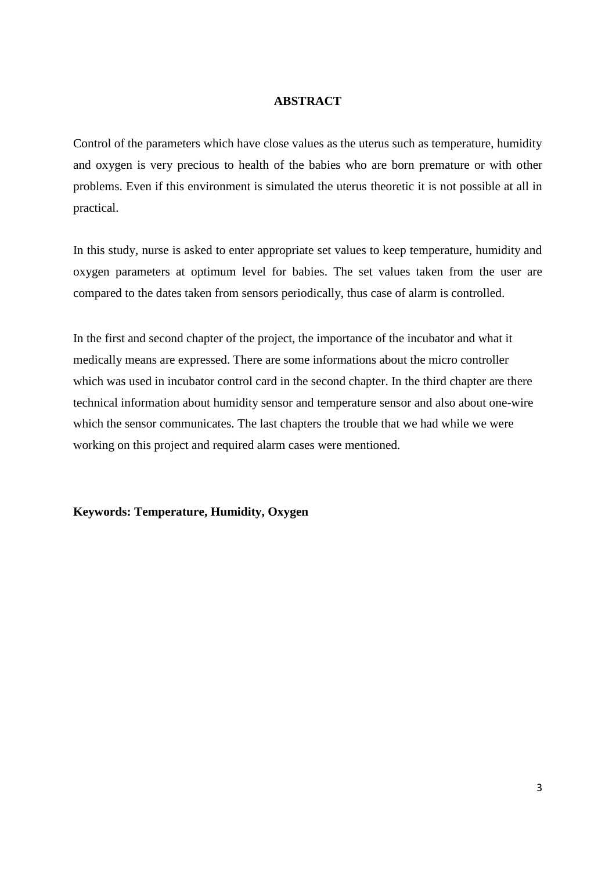#### **ABSTRACT**

Control of the parameters which have close values as the uterus such as temperature, humidity and oxygen is very precious to health of the babies who are born premature or with other problems. Even if this environment is simulated the uterus theoretic it is not possible at all in practical.

In this study, nurse is asked to enter appropriate set values to keep temperature, humidity and oxygen parameters at optimum level for babies. The set values taken from the user are compared to the dates taken from sensors periodically, thus case of alarm is controlled.

In the first and second chapter of the project, the importance of the incubator and what it medically means are expressed. There are some informations about the micro controller which was used in incubator control card in the second chapter. In the third chapter are there technical information about humidity sensor and temperature sensor and also about one-wire which the sensor communicates. The last chapters the trouble that we had while we were working on this project and required alarm cases were mentioned.

#### **Keywords: Temperature, Humidity, Oxygen**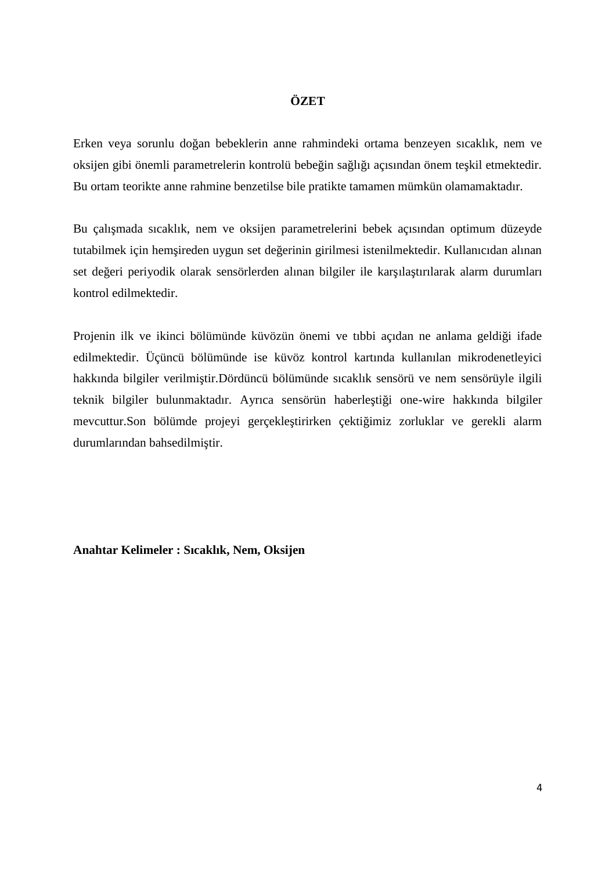#### **ÖZET**

Erken veya sorunlu doğan bebeklerin anne rahmindeki ortama benzeyen sıcaklık, nem ve oksijen gibi önemli parametrelerin kontrolü bebe in sa lı 1 açısından önem te kil etmektedir. Bu ortam teorikte anne rahmine benzetilse bile pratikte tamamen mümkün olamamaktadır.

Bu çalı mada sıcaklık, nem ve oksijen parametrelerini bebek açısından optimum düzeyde tutabilmek için hem ireden uygun set de erinin girilmesi istenilmektedir. Kullanıcıdan alınan set de eri periyodik olarak sensörlerden alınan bilgiler ile kar ıla tırılarak alarm durumları kontrol edilmektedir.

Projenin ilk ve ikinci bölümünde küvözün önemi ve tıbbi açıdan ne anlama geldi i ifade edilmektedir. Üçüncü bölümünde ise küvöz kontrol kartında kullanılan mikrodenetleyici hakkında bilgiler verilmi tir.Dördüncü bölümünde sıcaklık sensörü ve nem sensörüyle ilgili teknik bilgiler bulunmaktadır. Ayrıca sensörün haberle ti i one-wire hakkında bilgiler mevcuttur.Son bölümde projeyi gerçekle tirirken çekti imiz zorluklar ve gerekli alarm durumlarından bahsedilmi tir.

**Anahtar Kelimeler : Sıcaklık, Nem, Oksijen**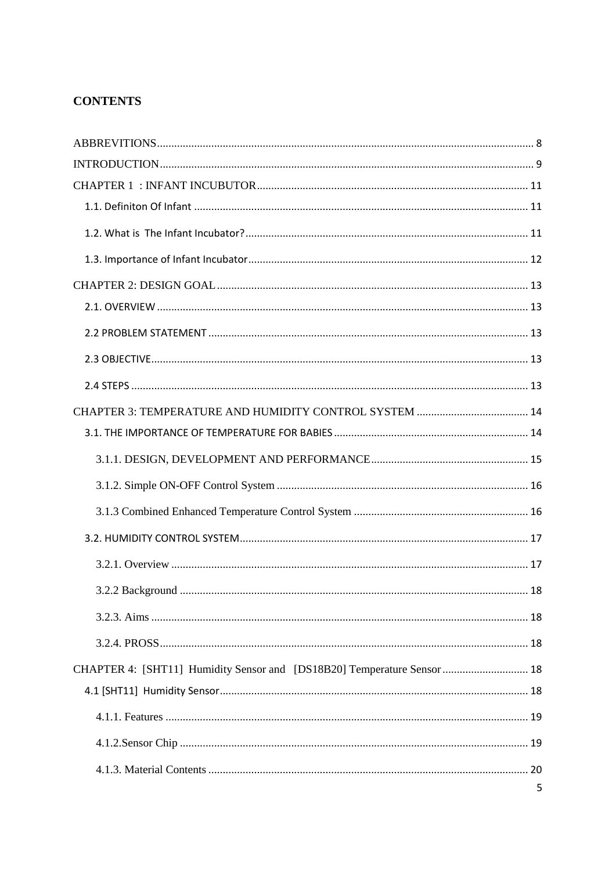# **CONTENTS**

| CHAPTER 4: [SHT11] Humidity Sensor and [DS18B20] Temperature Sensor  18 |  |
|-------------------------------------------------------------------------|--|
|                                                                         |  |
|                                                                         |  |
|                                                                         |  |
|                                                                         |  |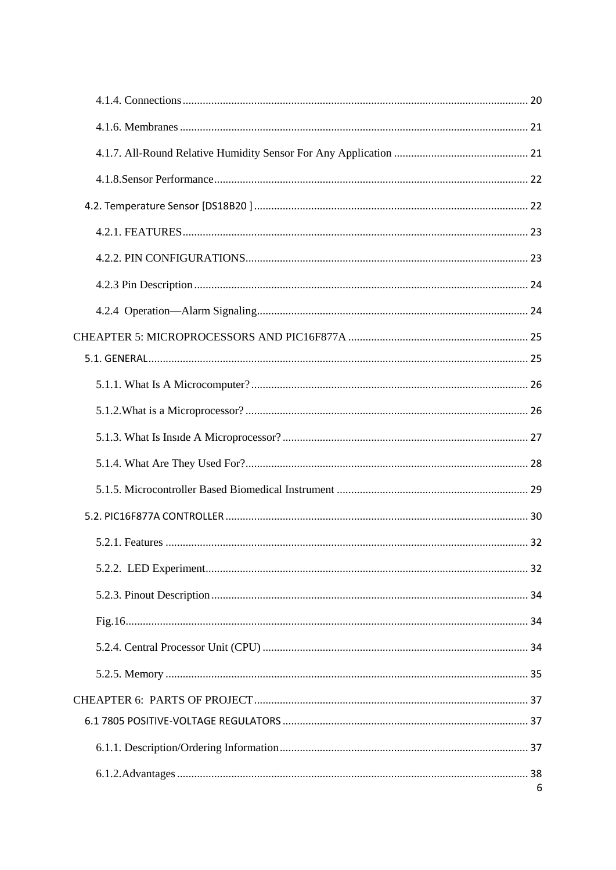| 6 |
|---|
|   |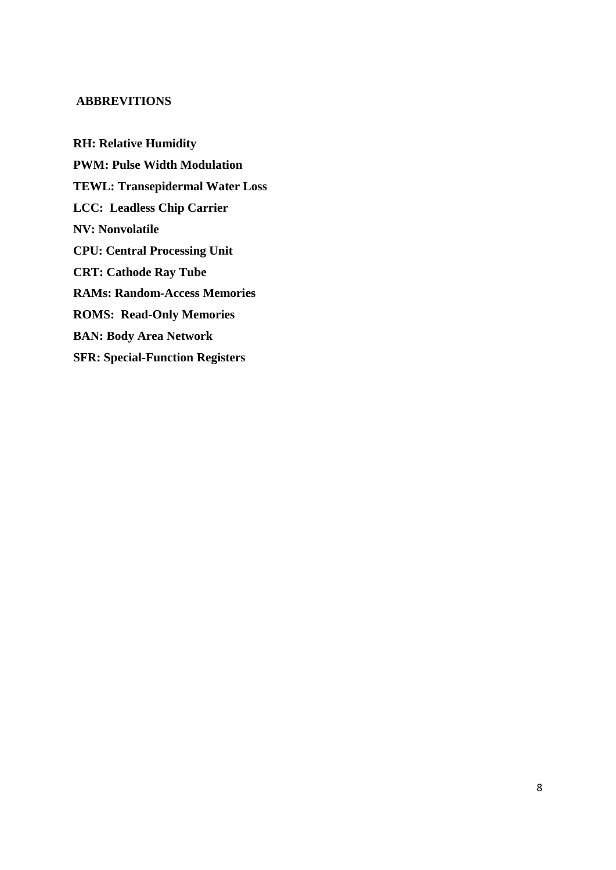#### **ABBREVITIONS**

**RH: Relative Humidity PWM: Pulse Width Modulation TEWL: Transepidermal Water Loss LCC: Leadless Chip Carrier NV: Nonvolatile CPU: Central Processing Unit CRT: Cathode Ray Tube RAMs: Random-Access Memories ROMS: Read-Only Memories BAN: Body Area Network SFR: Special-Function Registers**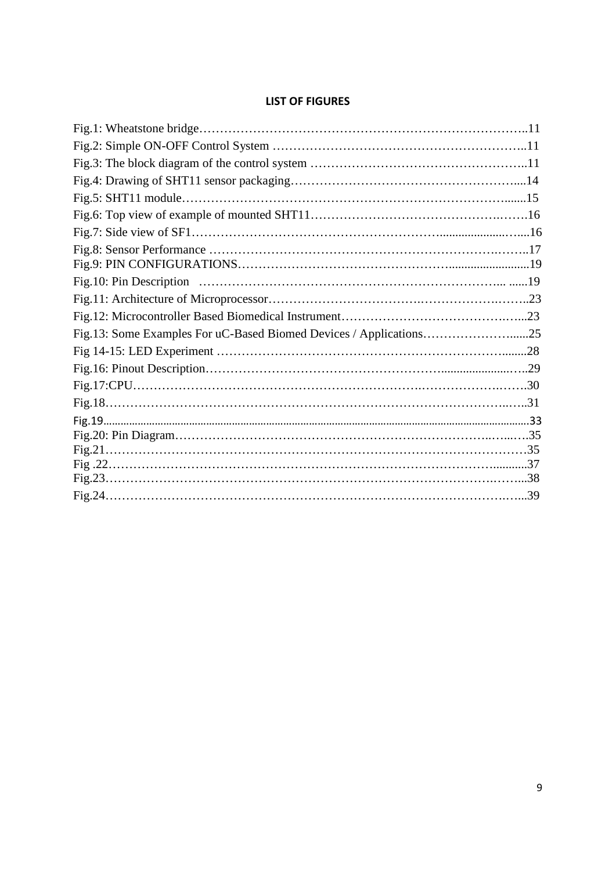#### **LIST OF FIGURES**

| Fig.13: Some Examples For uC-Based Biomed Devices / Applications25 |  |
|--------------------------------------------------------------------|--|
|                                                                    |  |
|                                                                    |  |
|                                                                    |  |
|                                                                    |  |
|                                                                    |  |
|                                                                    |  |
|                                                                    |  |
|                                                                    |  |
|                                                                    |  |
|                                                                    |  |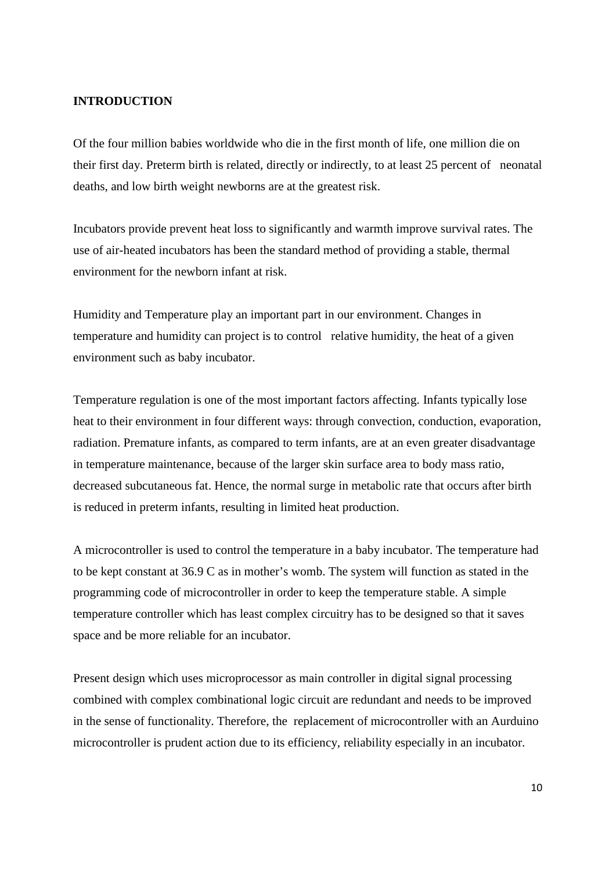#### **INTRODUCTION**

Of the four million babies worldwide who die in the first month of life, one million die on their first day. Preterm birth is related, directly or indirectly, to at least 25 percent of neonatal deaths, and low birth weight newborns are at the greatest risk.

Incubators provide prevent heat loss to significantly and warmth improve survival rates. The use of air-heated incubators has been the standard method of providing a stable, thermal environment for the newborn infant at risk.

Humidity and Temperature play an important part in our environment. Changes in temperature and humidity can project is to control relative humidity, the heat of a given environment such as baby incubator.

Temperature regulation is one of the most important factors affecting. Infants typically lose heat to their environment in four different ways: through convection, conduction, evaporation, radiation. Premature infants, as compared to term infants, are at an even greater disadvantage in temperature maintenance, because of the larger skin surface area to body mass ratio, decreased subcutaneous fat. Hence, the normal surge in metabolic rate that occurs after birth is reduced in preterm infants, resulting in limited heat production.

A microcontroller is used to control the temperature in a baby incubator. The temperature had to be kept constant at 36.9 C as in mother's womb. The system will function as stated in the programming code of microcontroller in order to keep the temperature stable. A simple temperature controller which has least complex circuitry has to be designed so that it saves space and be more reliable for an incubator.

Present design which uses microprocessor as main controller in digital signal processing combined with complex combinational logic circuit are redundant and needs to be improved in the sense of functionality. Therefore, the replacement of microcontroller with an Aurduino microcontroller is prudent action due to its efficiency, reliability especially in an incubator.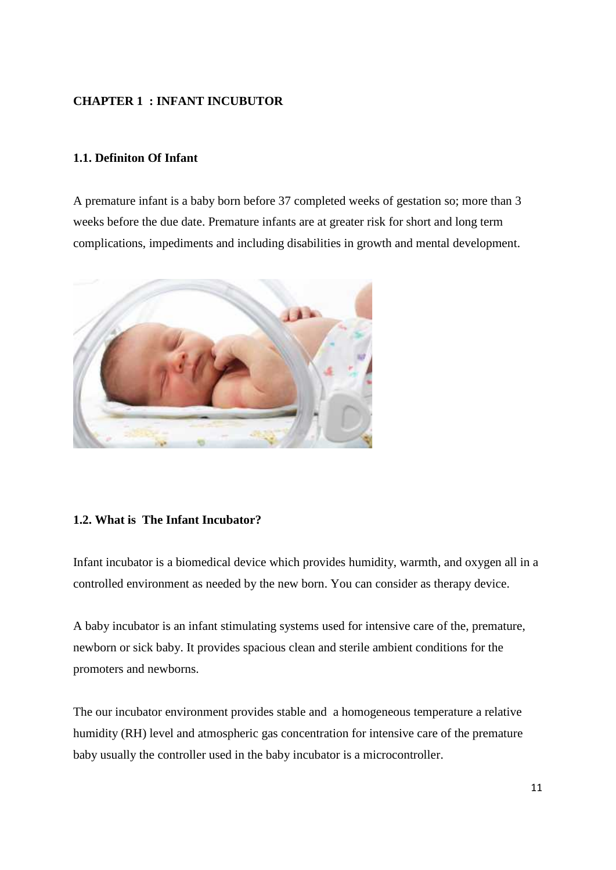# **CHAPTER 1 : INFANT INCUBUTOR**

#### **1.1. Definiton Of Infant**

A premature infant is a baby born before 37 completed weeks of gestation so; more than 3 weeks before the due date. Premature infants are at greater risk for short and long term complications, impediments and including disabilities in growth and mental development.



#### **1.2. What is The Infant Incubator?**

Infant incubator is a biomedical device which provides humidity, warmth, and oxygen all in a controlled environment as needed by the new born. You can consider as therapy device.

A baby incubator is an infant stimulating systems used for intensive care of the, premature, newborn or sick baby. It provides spacious clean and sterile ambient conditions for the promoters and newborns.

The our incubator environment provides stable and a homogeneous temperature a relative humidity (RH) level and atmospheric gas concentration for intensive care of the premature baby usually the controller used in the baby incubator is a microcontroller.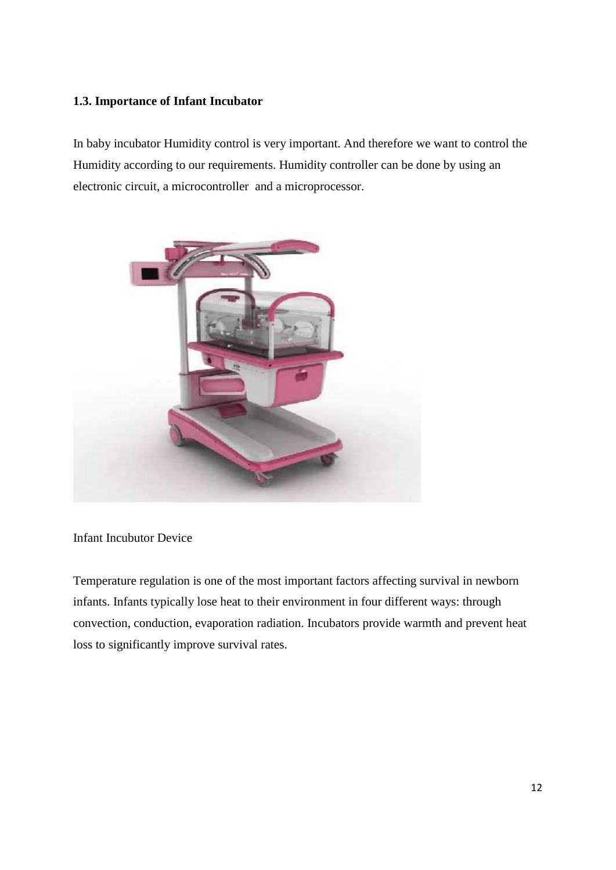# **1.3. Importance of Infant Incubator**

In baby incubator Humidity control is very important. And therefore we want to control the Humidity according to our requirements. Humidity controller can be done by using an electronic circuit, a microcontroller and a microprocessor.



Infant Incubutor Device

Temperature regulation is one of the most important factors affecting survival in newborn infants. Infants typically lose heat to their environment in four different ways: through convection, conduction, evaporation radiation. Incubators provide warmth and prevent heat loss to significantly improve survival rates.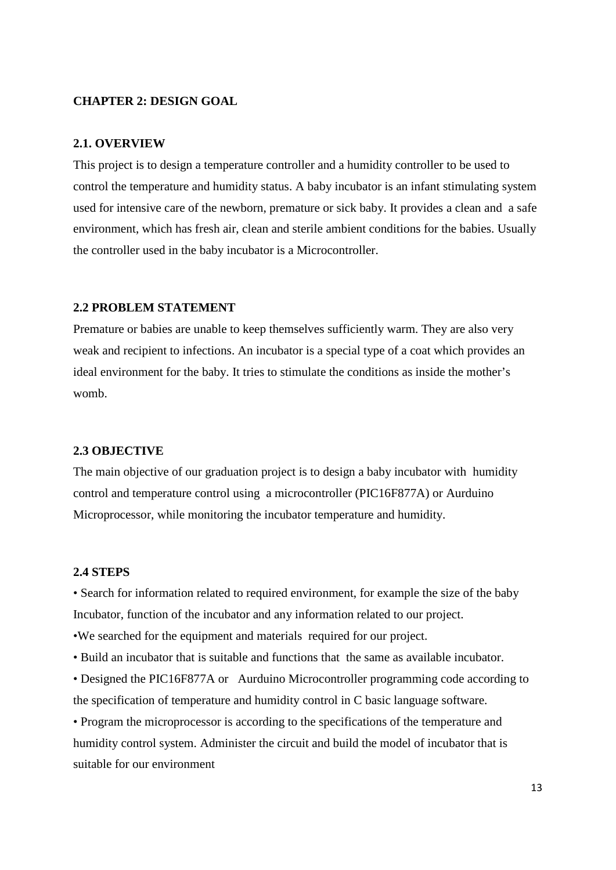#### **CHAPTER 2: DESIGN GOAL**

#### **2.1. OVERVIEW**

This project is to design a temperature controller and a humidity controller to be used to control the temperature and humidity status. A baby incubator is an infant stimulating system used for intensive care of the newborn, premature or sick baby. It provides a clean and a safe environment, which has fresh air, clean and sterile ambient conditions for the babies. Usually the controller used in the baby incubator is a Microcontroller.

#### **2.2 PROBLEM STATEMENT**

Premature or babies are unable to keep themselves sufficiently warm. They are also very weak and recipient to infections. An incubator is a special type of a coat which provides an ideal environment for the baby. It tries to stimulate the conditions as inside the mother's womb.

#### **2.3 OBJECTIVE**

The main objective of our graduation project is to design a baby incubator with humidity control and temperature control using a microcontroller (PIC16F877A) or Aurduino Microprocessor, while monitoring the incubator temperature and humidity.

#### **2.4 STEPS**

• Search for information related to required environment, for example the size of the baby Incubator, function of the incubator and any information related to our project.

•We searched for the equipment and materials required for our project.

• Build an incubator that is suitable and functions that the same as available incubator.

• Designed the PIC16F877A or Aurduino Microcontroller programming code according to the specification of temperature and humidity control in C basic language software.

• Program the microprocessor is according to the specifications of the temperature and humidity control system. Administer the circuit and build the model of incubator that is suitable for our environment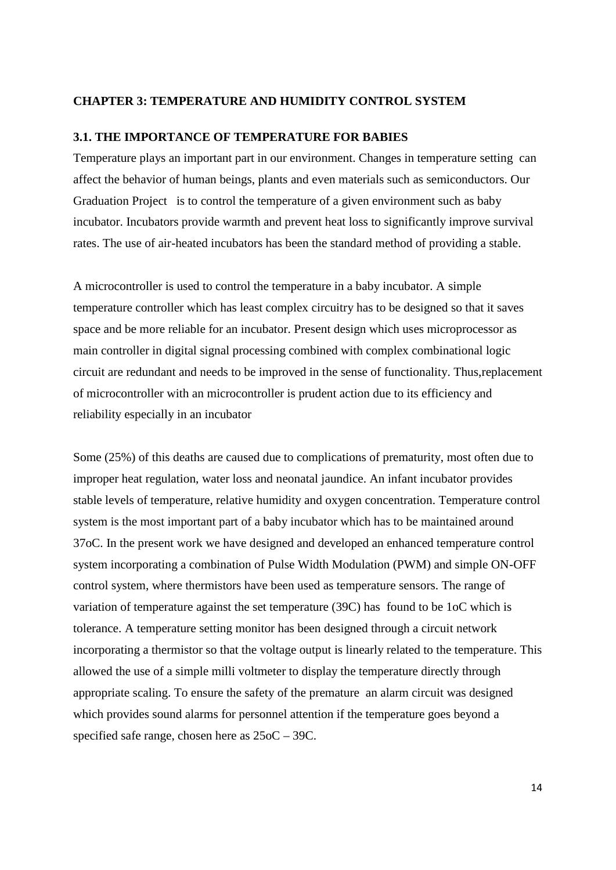#### **CHAPTER 3: TEMPERATURE AND HUMIDITY CONTROL SYSTEM**

#### **3.1. THE IMPORTANCE OF TEMPERATURE FOR BABIES**

Temperature plays an important part in our environment. Changes in temperature setting can affect the behavior of human beings, plants and even materials such as semiconductors. Our Graduation Project is to control the temperature of a given environment such as baby incubator. Incubators provide warmth and prevent heat loss to significantly improve survival rates. The use of air-heated incubators has been the standard method of providing a stable.

A microcontroller is used to control the temperature in a baby incubator. A simple temperature controller which has least complex circuitry has to be designed so that it saves space and be more reliable for an incubator. Present design which uses microprocessor as main controller in digital signal processing combined with complex combinational logic circuit are redundant and needs to be improved in the sense of functionality. Thus,replacement of microcontroller with an microcontroller is prudent action due to its efficiency and reliability especially in an incubator

Some (25%) of this deaths are caused due to complications of prematurity, most often due to improper heat regulation, water loss and neonatal jaundice. An infant incubator provides stable levels of temperature, relative humidity and oxygen concentration. Temperature control system is the most important part of a baby incubator which has to be maintained around 37oC. In the present work we have designed and developed an enhanced temperature control system incorporating a combination of Pulse Width Modulation (PWM) and simple ON-OFF control system, where thermistors have been used as temperature sensors. The range of variation of temperature against the set temperature (39C) has found to be 1oC which is tolerance. A temperature setting monitor has been designed through a circuit network incorporating a thermistor so that the voltage output is linearly related to the temperature. This allowed the use of a simple milli voltmeter to display the temperature directly through appropriate scaling. To ensure the safety of the premature an alarm circuit was designed which provides sound alarms for personnel attention if the temperature goes beyond a specified safe range, chosen here as 25oC – 39C.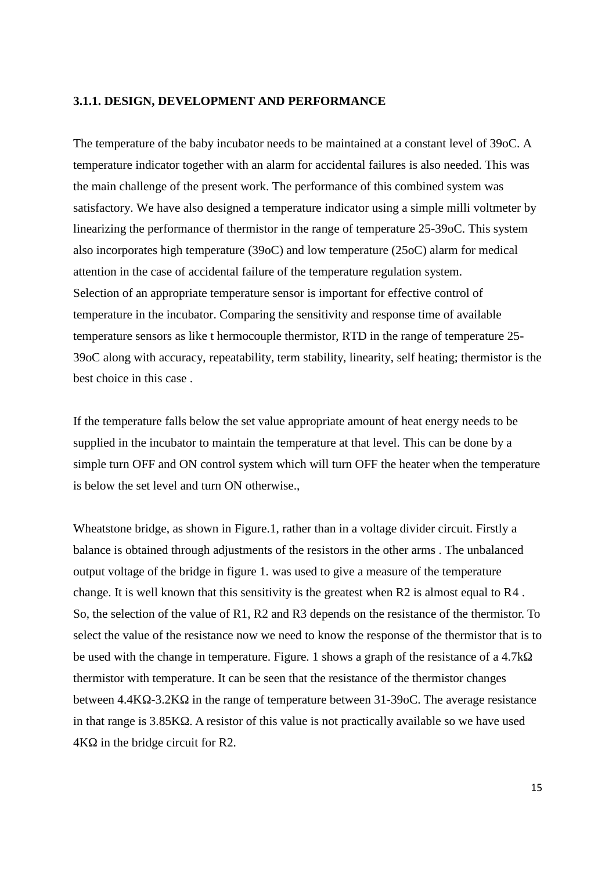#### **3.1.1. DESIGN, DEVELOPMENT AND PERFORMANCE**

The temperature of the baby incubator needs to be maintained at a constant level of 39oC. A temperature indicator together with an alarm for accidental failures is also needed. This was the main challenge of the present work. The performance of this combined system was satisfactory. We have also designed a temperature indicator using a simple milli voltmeter by linearizing the performance of thermistor in the range of temperature 25-39oC. This system also incorporates high temperature (39oC) and low temperature (25oC) alarm for medical attention in the case of accidental failure of the temperature regulation system. Selection of an appropriate temperature sensor is important for effective control of temperature in the incubator. Comparing the sensitivity and response time of available temperature sensors as like t hermocouple thermistor, RTD in the range of temperature 25- 39oC along with accuracy, repeatability, term stability, linearity, self heating; thermistor is the best choice in this case .

If the temperature falls below the set value appropriate amount of heat energy needs to be supplied in the incubator to maintain the temperature at that level. This can be done by a simple turn OFF and ON control system which will turn OFF the heater when the temperature is below the set level and turn ON otherwise.,

Wheatstone bridge, as shown in Figure.1, rather than in a voltage divider circuit. Firstly a balance is obtained through adjustments of the resistors in the other arms . The unbalanced output voltage of the bridge in figure 1. was used to give a measure of the temperature change. It is well known that this sensitivity is the greatest when R2 is almost equal to R4 . So, the selection of the value of R1, R2 and R3 depends on the resistance of the thermistor. To select the value of the resistance now we need to know the response of the thermistor that is to be used with the change in temperature. Figure. 1 shows a graph of the resistance of a 4.7k thermistor with temperature. It can be seen that the resistance of the thermistor changes between 4.4K -3.2K in the range of temperature between 31-39oC. The average resistance in that range is 3.85K A resistor of this value is not practically available so we have used  $4K$  in the bridge circuit for R2.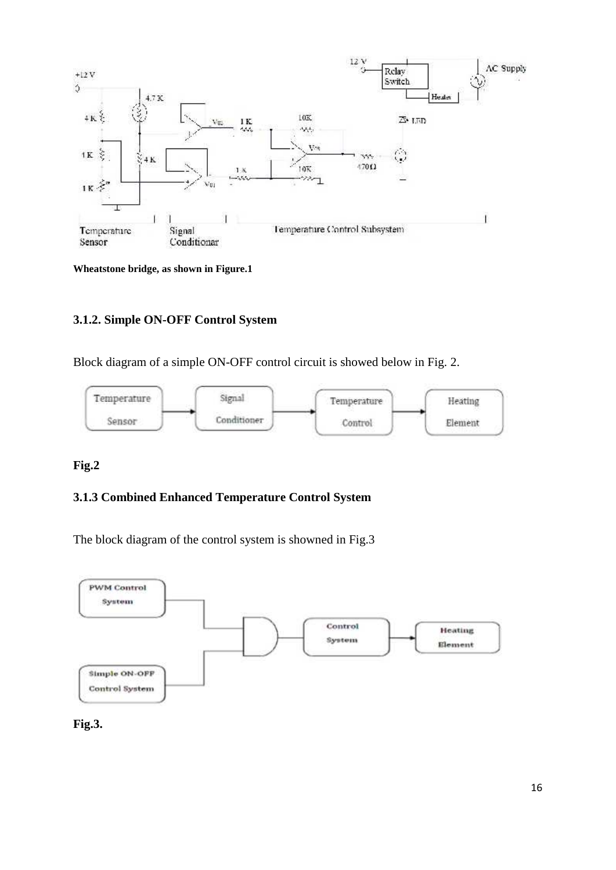

**Wheatstone bridge, as shown in Figure.1**

# **3.1.2. Simple ON-OFF Control System**

Block diagram of a simple ON-OFF control circuit is showed below in Fig. 2.



# **Fig.2**

#### **3.1.3 Combined Enhanced Temperature Control System**

The block diagram of the control system is showned in Fig.3



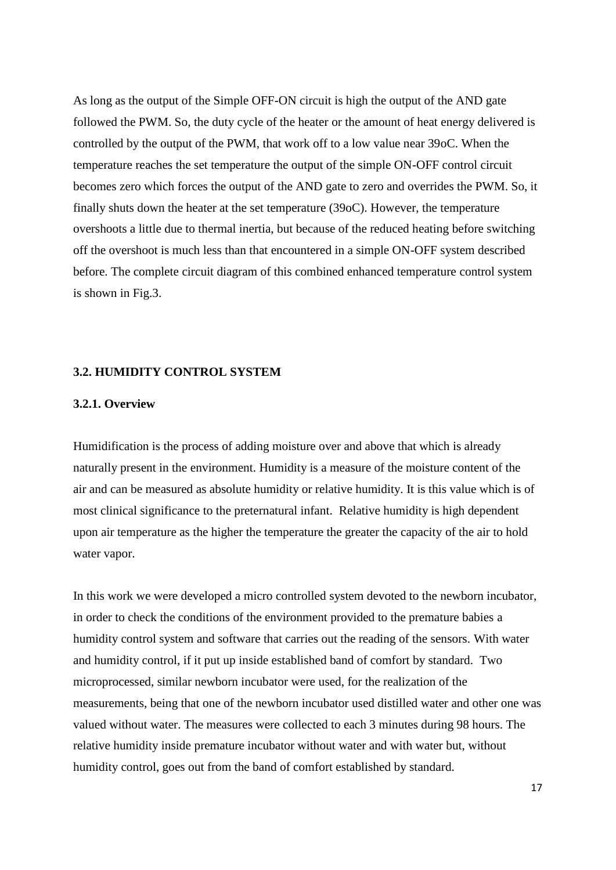As long as the output of the Simple OFF-ON circuit is high the output of the AND gate followed the PWM. So, the duty cycle of the heater or the amount of heat energy delivered is controlled by the output of the PWM, that work off to a low value near 39oC. When the temperature reaches the set temperature the output of the simple ON-OFF control circuit becomes zero which forces the output of the AND gate to zero and overrides the PWM. So, it finally shuts down the heater at the set temperature (39oC). However, the temperature overshoots a little due to thermal inertia, but because of the reduced heating before switching off the overshoot is much less than that encountered in a simple ON-OFF system described before. The complete circuit diagram of this combined enhanced temperature control system is shown in Fig.3.

#### **3.2. HUMIDITY CONTROL SYSTEM**

#### **3.2.1. Overview**

Humidification is the process of adding moisture over and above that which is already naturally present in the environment. Humidity is a measure of the moisture content of the air and can be measured as absolute humidity or relative humidity. It is this value which is of most clinical significance to the preternatural infant. Relative humidity is high dependent upon air temperature as the higher the temperature the greater the capacity of the air to hold water vapor.

In this work we were developed a micro controlled system devoted to the newborn incubator, in order to check the conditions of the environment provided to the premature babies a humidity control system and software that carries out the reading of the sensors. With water and humidity control, if it put up inside established band of comfort by standard. Two microprocessed, similar newborn incubator were used, for the realization of the measurements, being that one of the newborn incubator used distilled water and other one was valued without water. The measures were collected to each 3 minutes during 98 hours. The relative humidity inside premature incubator without water and with water but, without humidity control, goes out from the band of comfort established by standard.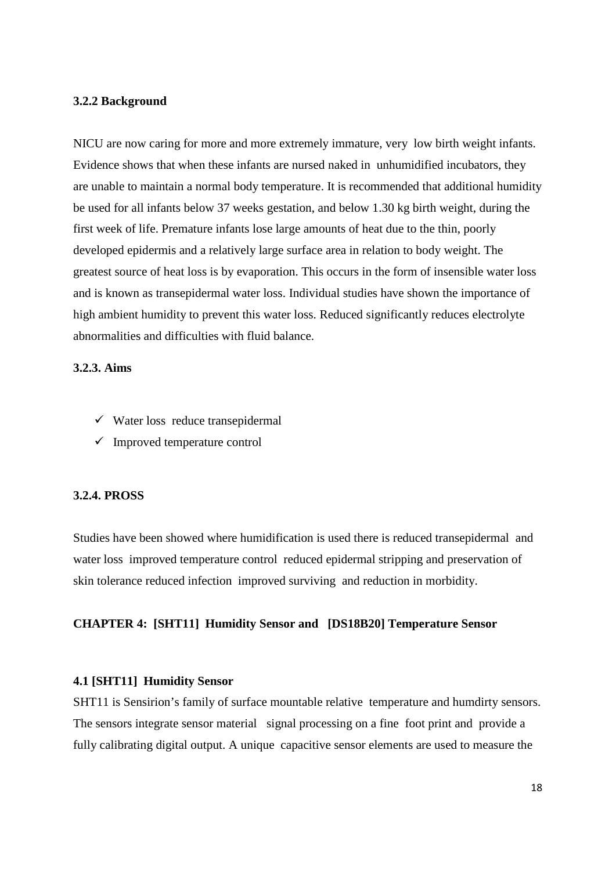#### **3.2.2 Background**

NICU are now caring for more and more extremely immature, very low birth weight infants. Evidence shows that when these infants are nursed naked in unhumidified incubators, they are unable to maintain a normal body temperature. It is recommended that additional humidity be used for all infants below 37 weeks gestation, and below 1.30 kg birth weight, during the first week of life. Premature infants lose large amounts of heat due to the thin, poorly developed epidermis and a relatively large surface area in relation to body weight. The greatest source of heat loss is by evaporation. This occurs in the form of insensible water loss and is known as transepidermal water loss. Individual studies have shown the importance of high ambient humidity to prevent this water loss. Reduced significantly reduces electrolyte abnormalities and difficulties with fluid balance.

#### **3.2.3. Aims**

- $\checkmark$  Water loss reduce transepidermal
- $\checkmark$  Improved temperature control

#### **3.2.4. PROSS**

Studies have been showed where humidification is used there is reduced transepidermal and water loss improved temperature control reduced epidermal stripping and preservation of skin tolerance reduced infection improved surviving and reduction in morbidity.

#### **CHAPTER 4: [SHT11] Humidity Sensor and [DS18B20] Temperature Sensor**

# **4.1 [SHT11] Humidity Sensor**

SHT11 is Sensirion's family of surface mountable relative temperature and humdirty sensors. The sensors integrate sensor material signal processing on a fine foot print and provide a fully calibrating digital output. A unique capacitive sensor elements are used to measure the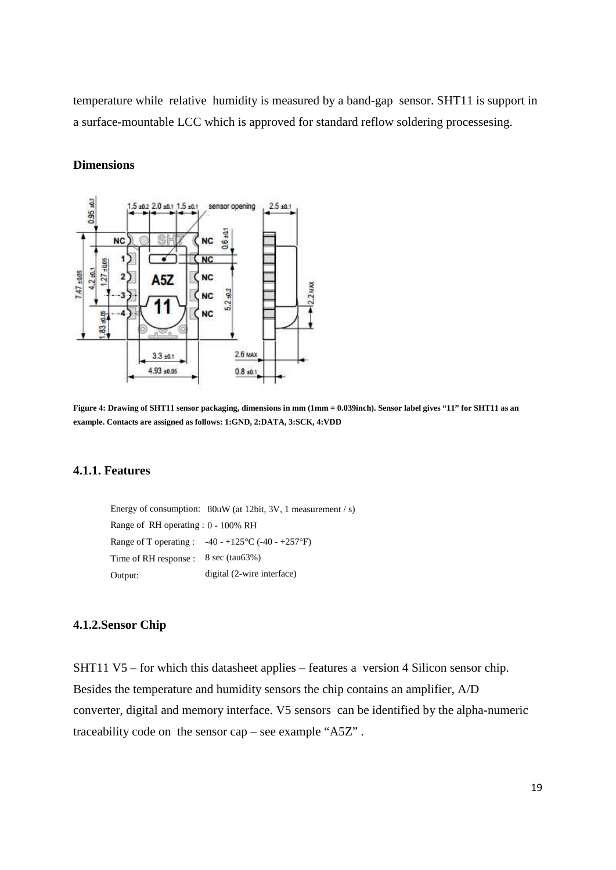temperature while relative humidity is measured by a band-gap sensor. SHT11 is support in a surface-mountable LCC which is approved for standard reflow soldering processesing.

#### **Dimensions**



**Figure 4: Drawing of SHT11 sensor packaging, dimensions in mm (1mm = 0.039inch). Sensor label gives "11" for SHT11 as an example. Contacts are assigned as follows: 1:GND, 2:DATA, 3:SCK, 4:VDD**

#### **4.1.1. Features**

Energy of consumption: 80uW (at 12bit, 3V, 1 measurement / s) Range of RH operating : 0 - 100% RH Range of T operating :  $-40 - +125$ °C (-40 -  $+257$ °F) Time of RH response : 8 sec (tau63%) Output: digital (2-wire interface)

#### **4.1.2.Sensor Chip**

SHT11 V5 – for which this datasheet applies – features a version 4 Silicon sensor chip. Besides the temperature and humidity sensors the chip contains an amplifier, A/D converter, digital and memory interface. V5 sensors can be identified by the alpha-numeric traceability code on the sensor cap – see example "A5Z" .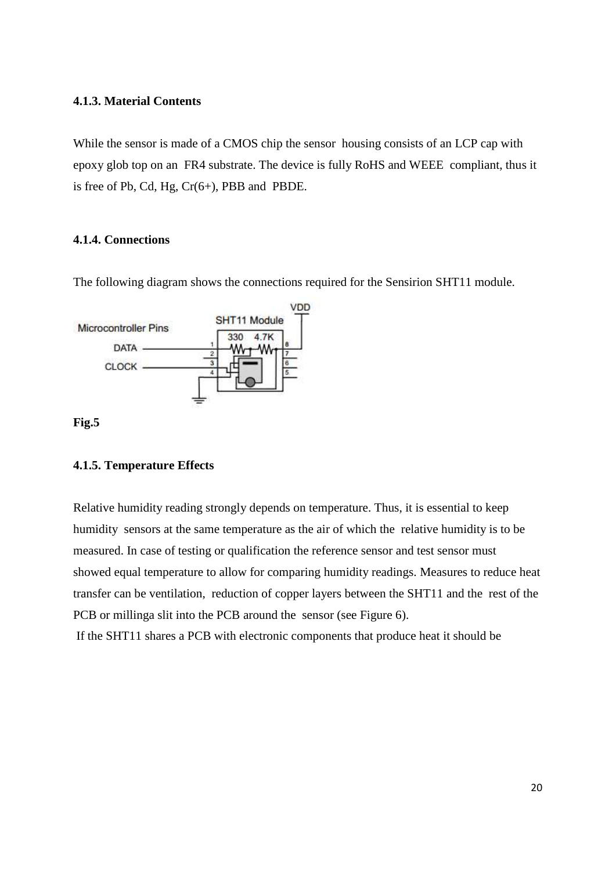#### **4.1.3. Material Contents**

While the sensor is made of a CMOS chip the sensor housing consists of an LCP cap with epoxy glob top on an FR4 substrate. The device is fully RoHS and WEEE compliant, thus it is free of Pb, Cd, Hg,  $Cr(6+)$ , PBB and PBDE.

#### **4.1.4. Connections**

VDD **SHT11 Module** Microcontroller Pins 330 4.7K DATA -CLOCK -

**Fig.5**

#### **4.1.5. Temperature Effects**

Relative humidity reading strongly depends on temperature. Thus, it is essential to keep humidity sensors at the same temperature as the air of which the relative humidity is to be measured. In case of testing or qualification the reference sensor and test sensor must showed equal temperature to allow for comparing humidity readings. Measures to reduce heat transfer can be ventilation, reduction of copper layers between the SHT11 and the rest of the PCB or millinga slit into the PCB around the sensor (see Figure 6).

If the SHT11 shares a PCB with electronic components that produce heat it should be

The following diagram shows the connections required for the Sensirion SHT11 module.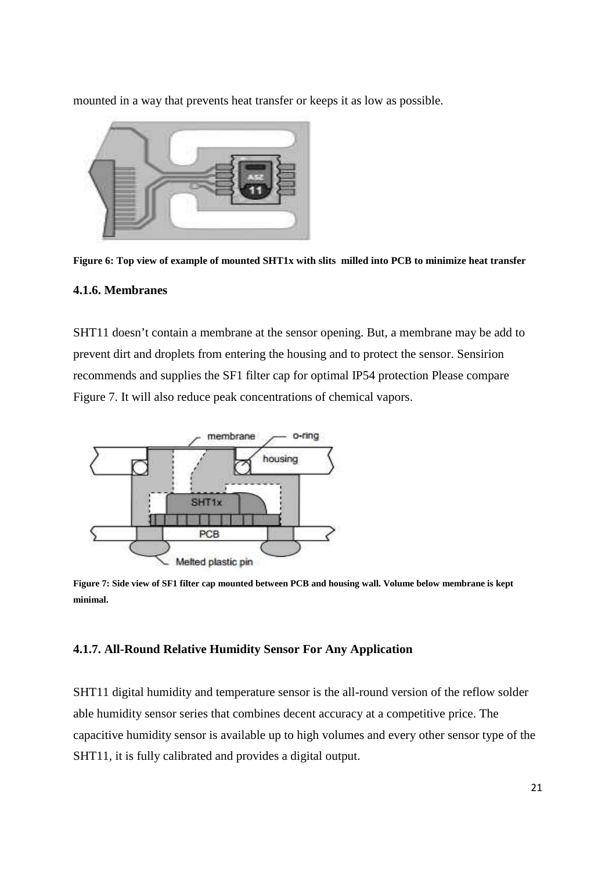mounted in a way that prevents heat transfer or keeps it as low as possible.



**Figure 6: Top view of example of mounted SHT1x with slits milled into PCB to minimize heat transfer**

#### **4.1.6. Membranes**

SHT11 doesn't contain a membrane at the sensor opening. But, a membrane may be add to prevent dirt and droplets from entering the housing and to protect the sensor. Sensirion recommends and supplies the SF1 filter cap for optimal IP54 protection Please compare Figure 7. It will also reduce peak concentrations of chemical vapors.



**Figure 7: Side view of SF1 filter cap mounted between PCB and housing wall. Volume below membrane is kept minimal.**

#### **4.1.7. All-Round Relative Humidity Sensor For Any Application**

SHT11 digital humidity and temperature sensor is the all-round version of the reflow solder able humidity sensor series that combines decent accuracy at a competitive price. The capacitive humidity sensor is available up to high volumes and every other sensor type of the SHT11, it is fully calibrated and provides a digital output.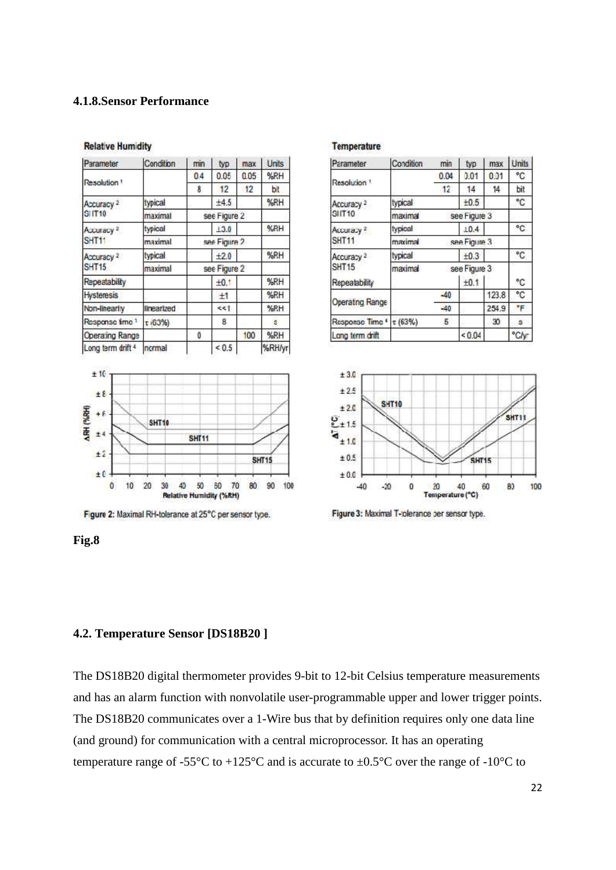# **4.1.8.Sensor Performance**

| Parameter                  | Condition  | min          | typ        | max  | Units  |
|----------------------------|------------|--------------|------------|------|--------|
|                            |            | 04           | 0.05       | 0.05 | %RH    |
| Resolution <sup>1</sup>    |            | 8            | 12         | 12   | bit    |
| Accuracy <sup>2</sup>      | typical    |              | ±4.5       |      | %RH    |
| <b>SHT10</b>               | maximal    | see Figure 2 |            |      |        |
| Accuracy <sup>2</sup>      | typical    |              | 13.0       |      | %RH    |
| SHT <sub>11</sub>          | maximal    | see Figure 2 |            |      |        |
| Accuracy <sup>2</sup>      | typical    |              | $+2.0$     |      | %RH    |
| <b>SHT15</b>               | maximal    | see Figure 2 |            |      |        |
| Repeatability              |            |              | $+0.1$     |      | %RH    |
| <b>Hysteresis</b>          |            |              | ±1         |      | %RH    |
| Non-linearity              | linearized |              | <<1        |      | %RH    |
| Response fime <sup>1</sup> | т (63%)    |              | 8          |      | s      |
| Operating Range            |            | 0            |            | 100  | %RH    |
| Long term drift 4          | normal     |              | ${}_{0.5}$ |      | %RH/yr |

#### **Relative Humidity**



Figure 2: Maximal RH-tolerance at 25°C per sensor type.

#### **Temperature**

| Parameter               | Condition               | min          | typ          | max   | Units |
|-------------------------|-------------------------|--------------|--------------|-------|-------|
|                         |                         | 0.04         | 0.01         | 0.01  | °C    |
| Resolution <sup>1</sup> |                         | 12           | 14           | 14    | bit   |
| Accuracy <sup>2</sup>   | typical                 |              | ±0.5         |       | ۰c    |
| SIT10                   | maximal                 |              | see Figure 3 |       |       |
| Accuracy <sup>2</sup>   | typical                 |              | 10.4         |       | °C    |
| <b>SHT11</b>            | see Figure 3<br>maximal |              |              |       |       |
| Accuracy <sup>2</sup>   | typical                 |              | ±0.3         |       | °C    |
| <b>SHT15</b>            | maximal                 | see Figure 3 |              |       |       |
| Repeatability           |                         |              | ±0.1         |       | ۰c    |
|                         |                         | $-40$        |              | 123.8 | ۹C    |
| Operating Range         |                         | $-40$        |              | 254.9 | ۴F    |
| Response Time *         | $\tau$ (63%)            | 5            |              | 30    | s     |
| Long term drift         |                         |              | ${}_{0.04}$  |       | °C/y  |





#### **Fig.8**

#### **4.2. Temperature Sensor [DS18B20 ]**

The DS18B20 digital thermometer provides 9-bit to 12-bit Celsius temperature measurements and has an alarm function with nonvolatile user-programmable upper and lower trigger points. The DS18B20 communicates over a 1-Wire bus that by definition requires only one data line (and ground) for communication with a central microprocessor. It has an operating temperature range of -55 $\rm{°C}$  to +125 $\rm{°C}$  and is accurate to  $\pm 0.5\rm{°C}$  over the range of -10 $\rm{°C}$  to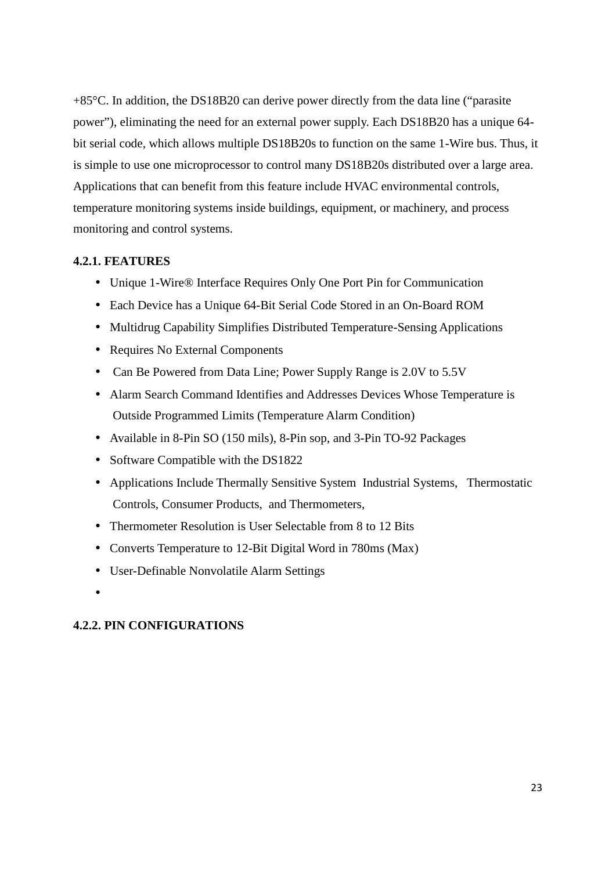+85°C. In addition, the DS18B20 can derive power directly from the data line ("parasite power"), eliminating the need for an external power supply. Each DS18B20 has a unique 64 bit serial code, which allows multiple DS18B20s to function on the same 1-Wire bus. Thus, it is simple to use one microprocessor to control many DS18B20s distributed over a large area. Applications that can benefit from this feature include HVAC environmental controls, temperature monitoring systems inside buildings, equipment, or machinery, and process monitoring and control systems.

# **4.2.1. FEATURES**

- Unique 1-Wire® Interface Requires Only One Port Pin for Communication
- Each Device has a Unique 64-Bit Serial Code Stored in an On-Board ROM
- Multidrug Capability Simplifies Distributed Temperature-Sensing Applications
- Requires No External Components
- Can Be Powered from Data Line; Power Supply Range is 2.0V to 5.5V
- Alarm Search Command Identifies and Addresses Devices Whose Temperature is Outside Programmed Limits (Temperature Alarm Condition)
- Available in 8-Pin SO (150 mils), 8-Pin sop, and 3-Pin TO-92 Packages
- Software Compatible with the DS1822
- Applications Include Thermally Sensitive System Industrial Systems, Thermostatic Controls, Consumer Products, and Thermometers,
- Thermometer Resolution is User Selectable from 8 to 12 Bits
- Converts Temperature to 12-Bit Digital Word in 780ms (Max)
- User-Definable Nonvolatile Alarm Settings
- $\bullet$  and  $\bullet$

#### **4.2.2. PIN CONFIGURATIONS**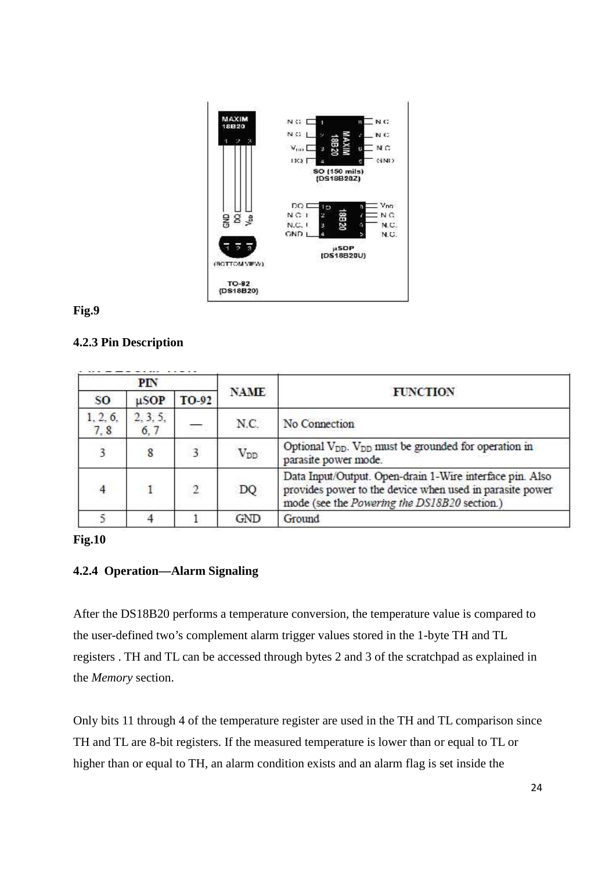

### **Fig.9**

# **4.2.3 Pin Description**

| PIN             |                  |                |             |                                                                                                                                                                      |
|-----------------|------------------|----------------|-------------|----------------------------------------------------------------------------------------------------------------------------------------------------------------------|
| SO.             | $\mu$ SOP        | TO-92          | <b>NAME</b> | <b>FUNCTION</b>                                                                                                                                                      |
| 1, 2, 6,<br>7,8 | 2, 3, 5,<br>6, 7 | 2772           | N.C.        | No Connection                                                                                                                                                        |
| 3               | 8                | 3              | $V_{DD}$    | Optional V <sub>DD</sub> . V <sub>DD</sub> must be grounded for operation in<br>parasite power mode.                                                                 |
| $\overline{4}$  | $\mathbf{1}$     | $\overline{2}$ | DQ          | Data Input/Output. Open-drain 1-Wire interface pin. Also<br>provides power to the device when used in parasite power<br>mode (see the Powering the DS18B20 section.) |
|                 |                  |                | GND         | Ground                                                                                                                                                               |

# **Fig.10**

# **4.2.4 Operation—Alarm Signaling**

After the DS18B20 performs a temperature conversion, the temperature value is compared to the user-defined two's complement alarm trigger values stored in the 1-byte TH and TL registers . TH and TL can be accessed through bytes 2 and 3 of the scratchpad as explained in the *Memory* section.

Only bits 11 through 4 of the temperature register are used in the TH and TL comparison since TH and TL are 8-bit registers. If the measured temperature is lower than or equal to TL or higher than or equal to TH, an alarm condition exists and an alarm flag is set inside the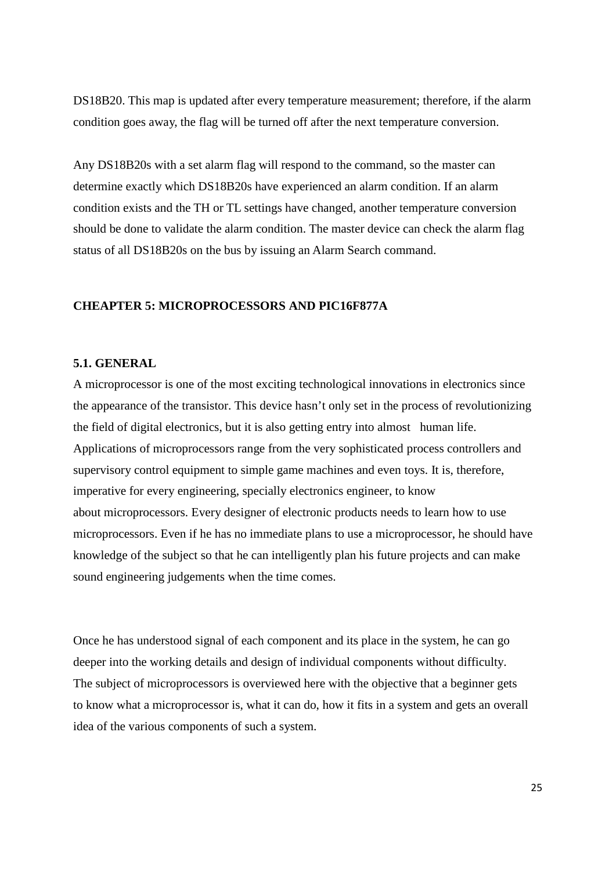DS18B20. This map is updated after every temperature measurement; therefore, if the alarm condition goes away, the flag will be turned off after the next temperature conversion.

Any DS18B20s with a set alarm flag will respond to the command, so the master can determine exactly which DS18B20s have experienced an alarm condition. If an alarm condition exists and the TH or TL settings have changed, another temperature conversion should be done to validate the alarm condition. The master device can check the alarm flag status of all DS18B20s on the bus by issuing an Alarm Search command.

#### **CHEAPTER 5: MICROPROCESSORS AND PIC16F877A**

#### **5.1. GENERAL**

A microprocessor is one of the most exciting technological innovations in electronics since the appearance of the transistor. This device hasn't only set in the process of revolutionizing the field of digital electronics, but it is also getting entry into almost human life. Applications of microprocessors range from the very sophisticated process controllers and supervisory control equipment to simple game machines and even toys. It is, therefore, imperative for every engineering, specially electronics engineer, to know about microprocessors. Every designer of electronic products needs to learn how to use microprocessors. Even if he has no immediate plans to use a microprocessor, he should have knowledge of the subject so that he can intelligently plan his future projects and can make sound engineering judgements when the time comes.

Once he has understood signal of each component and its place in the system, he can go deeper into the working details and design of individual components without difficulty. The subject of microprocessors is overviewed here with the objective that a beginner gets to know what a microprocessor is, what it can do, how it fits in a system and gets an overall idea of the various components of such a system.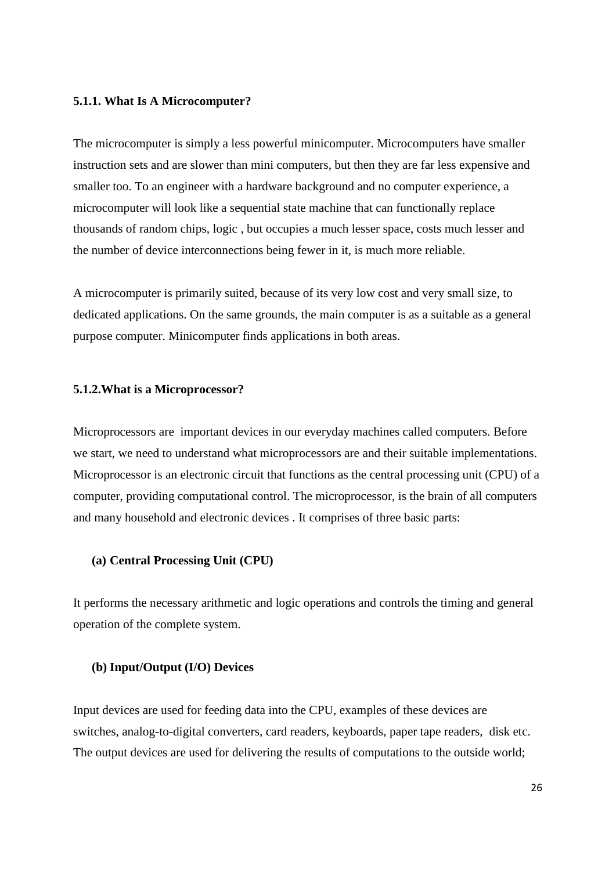#### **5.1.1. What Is A Microcomputer?**

The microcomputer is simply a less powerful minicomputer. Microcomputers have smaller instruction sets and are slower than mini computers, but then they are far less expensive and smaller too. To an engineer with a hardware background and no computer experience, a microcomputer will look like a sequential state machine that can functionally replace thousands of random chips, logic , but occupies a much lesser space, costs much lesser and the number of device interconnections being fewer in it, is much more reliable.

A microcomputer is primarily suited, because of its very low cost and very small size, to dedicated applications. On the same grounds, the main computer is as a suitable as a general purpose computer. Minicomputer finds applications in both areas.

#### **5.1.2.What is a Microprocessor?**

Microprocessors are important devices in our everyday machines called computers. Before we start, we need to understand what microprocessors are and their suitable implementations. Microprocessor is an electronic circuit that functions as the central processing unit (CPU) of a computer, providing computational control. The microprocessor, is the brain of all computers and many household and electronic devices . It comprises of three basic parts:

#### **(a) Central Processing Unit (CPU)**

It performs the necessary arithmetic and logic operations and controls the timing and general operation of the complete system.

#### **(b) Input/Output (I/O) Devices**

Input devices are used for feeding data into the CPU, examples of these devices are switches, analog-to-digital converters, card readers, keyboards, paper tape readers, disk etc. The output devices are used for delivering the results of computations to the outside world;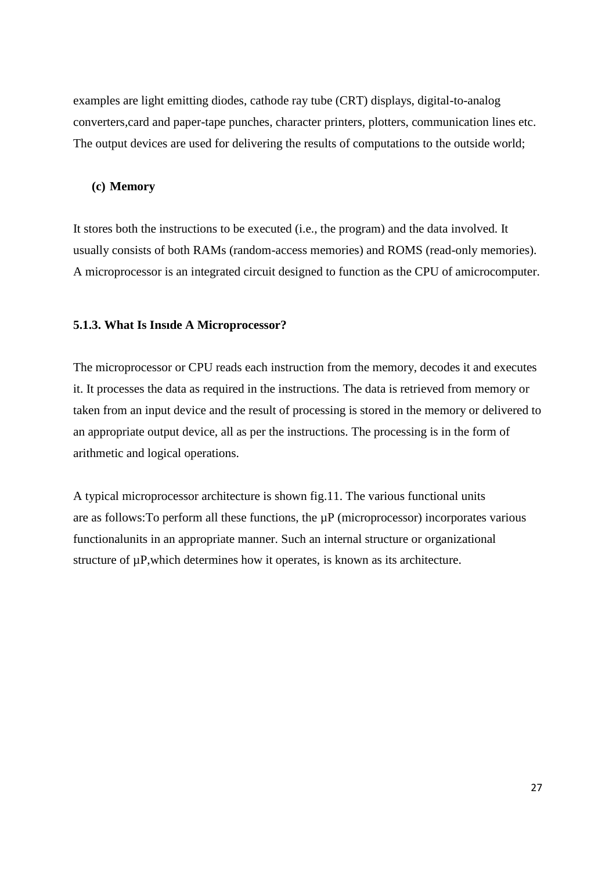examples are light emitting diodes, cathode ray tube (CRT) displays, digital-to-analog converters,card and paper-tape punches, character printers, plotters, communication lines etc. The output devices are used for delivering the results of computations to the outside world;

#### **(c) Memory**

It stores both the instructions to be executed (i.e., the program) and the data involved. It usually consists of both RAMs (random-access memories) and ROMS (read-only memories). A microprocessor is an integrated circuit designed to function as the CPU of amicrocomputer.

#### **5.1.3. What Is Insıde A Microprocessor?**

The microprocessor or CPU reads each instruction from the memory, decodes it and executes it. It processes the data as required in the instructions. The data is retrieved from memory or taken from an input device and the result of processing is stored in the memory or delivered to an appropriate output device, all as per the instructions. The processing is in the form of arithmetic and logical operations.

A typical microprocessor architecture is shown fig.11. The various functional units are as follows: To perform all these functions, the  $\mu$ P (microprocessor) incorporates various functionalunits in an appropriate manner. Such an internal structure or organizational structure of  $\mu$ P, which determines how it operates, is known as its architecture.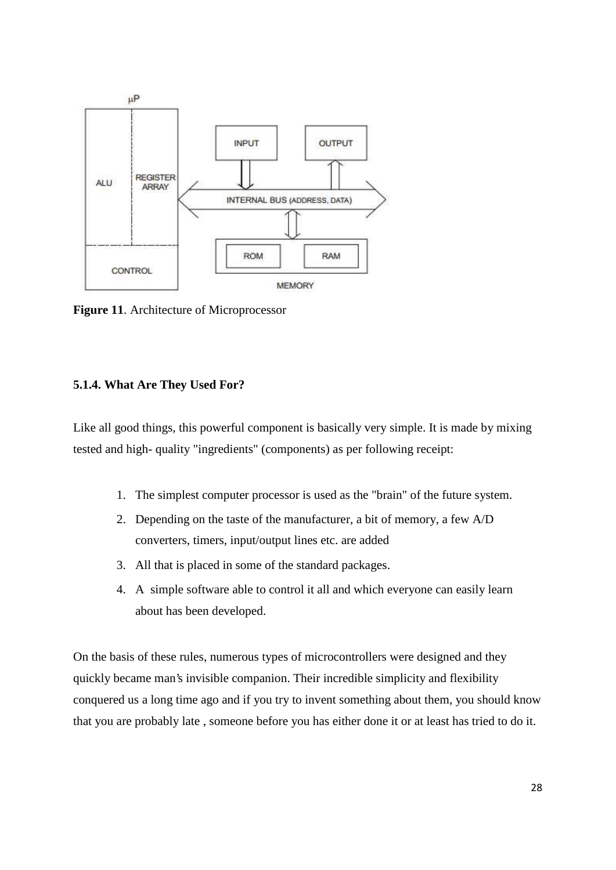

**Figure 11**. Architecture of Microprocessor

#### **5.1.4. What Are They Used For?**

Like all good things, this powerful component is basically very simple. It is made by mixing tested and high- quality "ingredients" (components) as per following receipt:

- 1. The simplest computer processor is used as the "brain" of the future system.
- 2. Depending on the taste of the manufacturer, a bit of memory, a few A/D converters, timers, input/output lines etc. are added
- 3. All that is placed in some of the standard packages.
- 4. A simple software able to control it all and which everyone can easily learn about has been developed.

On the basis of these rules, numerous types of microcontrollers were designed and they quickly became man's invisible companion. Their incredible simplicity and flexibility conquered us a long time ago and if you try to invent something about them, you should know that you are probably late , someone before you has either done it or at least has tried to do it.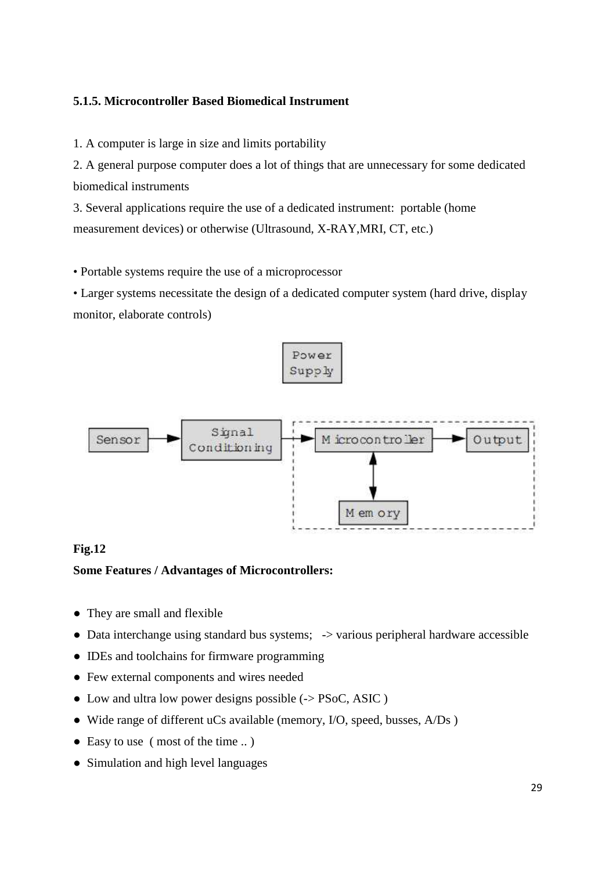# **5.1.5. Microcontroller Based Biomedical Instrument**

1. A computer is large in size and limits portability

2. A general purpose computer does a lot of things that are unnecessary for some dedicated biomedical instruments

3. Several applications require the use of a dedicated instrument: portable (home measurement devices) or otherwise (Ultrasound, X-RAY,MRI, CT, etc.)

• Portable systems require the use of a microprocessor

• Larger systems necessitate the design of a dedicated computer system (hard drive, display monitor, elaborate controls)



# **Fig.12**

#### **Some Features / Advantages of Microcontrollers:**

They are small and flexible

Data interchange using standard bus systems;  $\rightarrow$  various peripheral hardware accessible

● IDEs and toolchains for firmware programming

Few external components and wires needed

Low and ultra low power designs possible  $\left(\frac{-}{5}\right)$  PSoC, ASIC )

Wide range of different uCs available (memory, I/O, speed, busses, A/Ds)

Easy to use ( most of the time .. )

Simulation and high level languages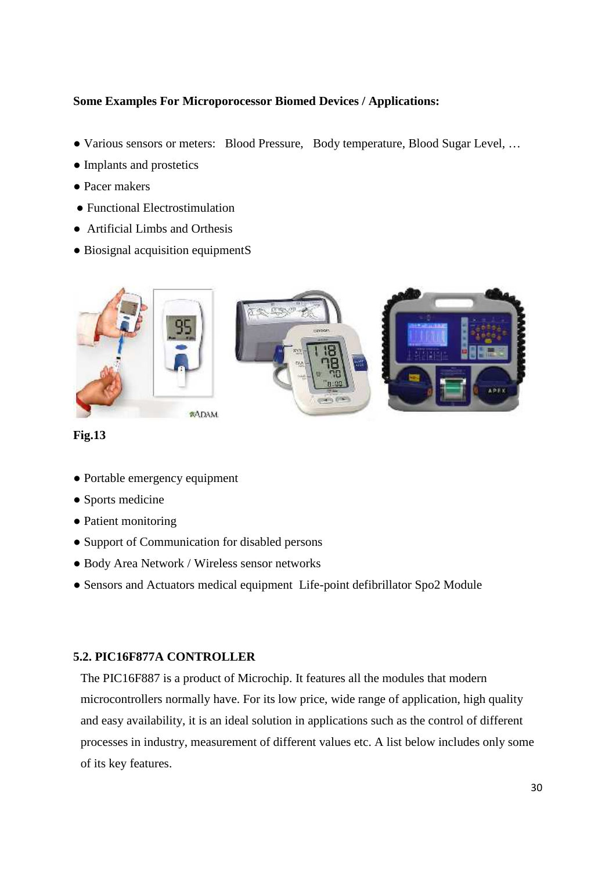# **Some Examples For Microporocessor Biomed Devices / Applications:**

Various sensors or meters: Blood Pressure, Body temperature, Blood Sugar Level, ...

- Implants and prostetics
- Pacer makers
- **Functional Electrostimulation**
- Artificial Limbs and Orthesis
- Biosignal acquisition equipmentS



# **Fig.13**

Portable emergency equipment Sports medicine Patient monitoring Support of Communication for disabled persons Body Area Network / Wireless sensor networks Sensors and Actuators medical equipment Life-point defibrillator Spo2 Module

#### **5.2. PIC16F877A CONTROLLER**

The PIC16F887 is a product of Microchip. It features all the modules that modern microcontrollers normally have. For its low price, wide range of application, high quality and easy availability, it is an ideal solution in applications such as the control of different processes in industry, measurement of different values etc. A list below includes only some of its key features.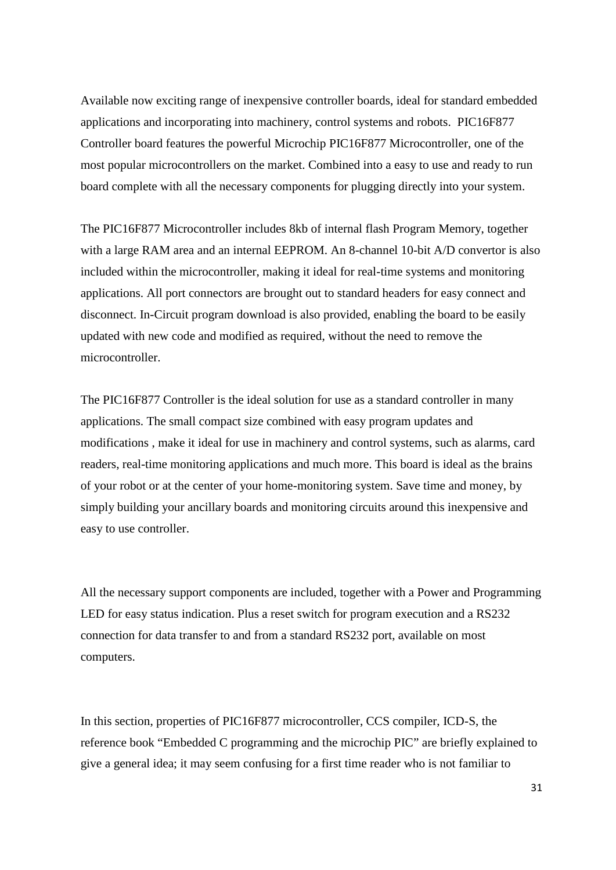Available now exciting range of inexpensive controller boards, ideal for standard embedded applications and incorporating into machinery, control systems and robots. PIC16F877 Controller board features the powerful Microchip PIC16F877 Microcontroller, one of the most popular microcontrollers on the market. Combined into a easy to use and ready to run board complete with all the necessary components for plugging directly into your system.

The PIC16F877 Microcontroller includes 8kb of internal flash Program Memory, together with a large RAM area and an internal EEPROM. An 8-channel 10-bit A/D convertor is also included within the microcontroller, making it ideal for real-time systems and monitoring applications. All port connectors are brought out to standard headers for easy connect and disconnect. In-Circuit program download is also provided, enabling the board to be easily updated with new code and modified as required, without the need to remove the microcontroller.

The PIC16F877 Controller is the ideal solution for use as a standard controller in many applications. The small compact size combined with easy program updates and modifications , make it ideal for use in machinery and control systems, such as alarms, card readers, real-time monitoring applications and much more. This board is ideal as the brains of your robot or at the center of your home-monitoring system. Save time and money, by simply building your ancillary boards and monitoring circuits around this inexpensive and easy to use controller.

All the necessary support components are included, together with a Power and Programming LED for easy status indication. Plus a reset switch for program execution and a RS232 connection for data transfer to and from a standard RS232 port, available on most computers.

In this section, properties of PIC16F877 microcontroller, CCS compiler, ICD-S, the reference book "Embedded C programming and the microchip PIC" are briefly explained to give a general idea; it may seem confusing for a first time reader who is not familiar to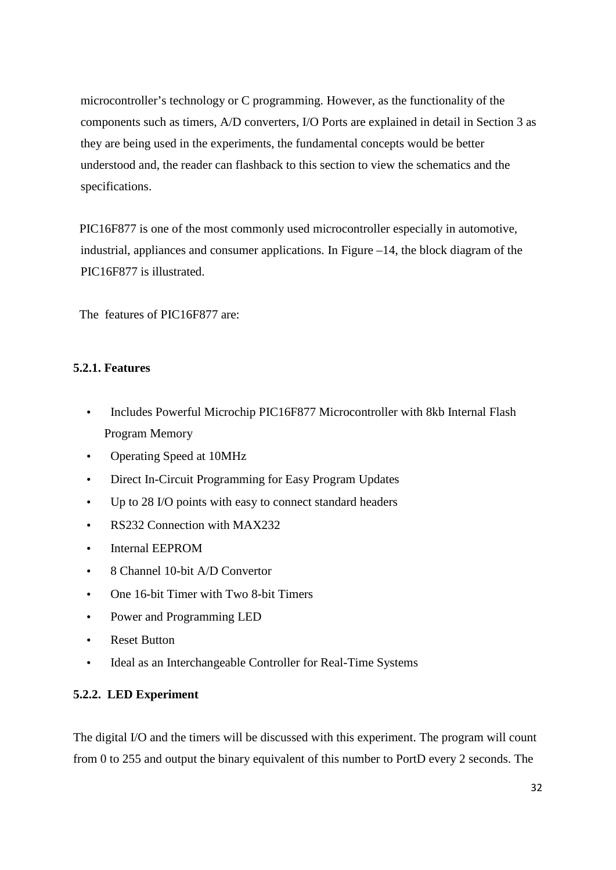microcontroller's technology or C programming. However, as the functionality of the components such as timers, A/D converters, I/O Ports are explained in detail in Section 3 as they are being used in the experiments, the fundamental concepts would be better understood and, the reader can flashback to this section to view the schematics and the specifications.

PIC16F877 is one of the most commonly used microcontroller especially in automotive, industrial, appliances and consumer applications. In Figure –14, the block diagram of the PIC16F877 is illustrated.

The features of PIC16F877 are:

# **5.2.1. Features**

- Includes Powerful Microchip PIC16F877 Microcontroller with 8kb Internal Flash Program Memory
- Operating Speed at 10MHz
- Direct In-Circuit Programming for Easy Program Updates
- Up to 28 I/O points with easy to connect standard headers
- RS232 Connection with MAX232
- Internal EEPROM
- 8 Channel 10-bit A/D Convertor
- One 16-bit Timer with Two 8-bit Timers
- Power and Programming LED
- Reset Button
- Ideal as an Interchangeable Controller for Real-Time Systems

# **5.2.2. LED Experiment**

The digital I/O and the timers will be discussed with this experiment. The program will count from 0 to 255 and output the binary equivalent of this number to PortD every 2 seconds. The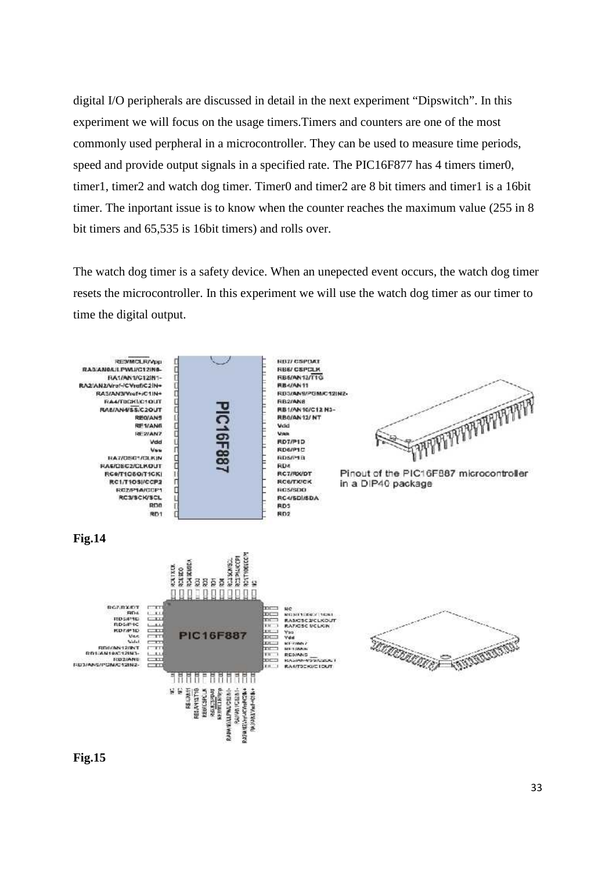digital I/O peripherals are discussed in detail in the next experiment "Dipswitch". In this experiment we will focus on the usage timers.Timers and counters are one of the most commonly used perpheral in a microcontroller. They can be used to measure time periods, speed and provide output signals in a specified rate. The PIC16F877 has 4 timers timer0, timer1, timer2 and watch dog timer. Timer0 and timer2 are 8 bit timers and timer1 is a 16bit timer. The inportant issue is to know when the counter reaches the maximum value (255 in 8 bit timers and 65,535 is 16bit timers) and rolls over.

The watch dog timer is a safety device. When an unepected event occurs, the watch dog timer resets the microcontroller. In this experiment we will use the watch dog timer as our timer to time the digital output.



**Fig.15**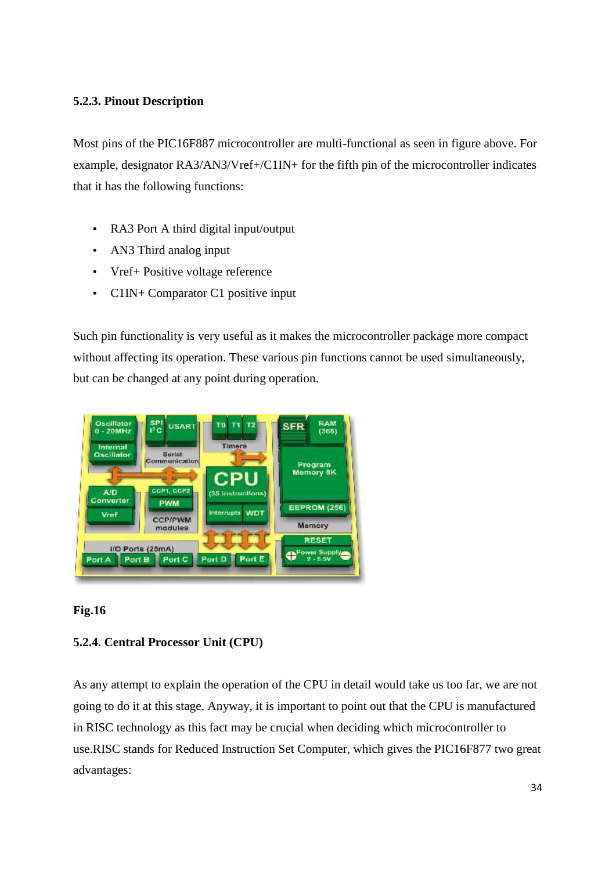# **5.2.3. Pinout Description**

Most pins of the PIC16F887 microcontroller are multi-functional as seen in figure above. For example, designator RA3/AN3/Vref+/C1IN+ for the fifth pin of the microcontroller indicates that it has the following functions:

- RA3 Port A third digital input/output
- AN3 Third analog input
- Vref + Positive voltage reference
- C1IN+ Comparator C1 positive input

Such pin functionality is very useful as it makes the microcontroller package more compact without affecting its operation. These various pin functions cannot be used simultaneously, but can be changed at any point during operation.



#### **Fig.16**

# **5.2.4. Central Processor Unit (CPU)**

As any attempt to explain the operation of the CPU in detail would take us too far, we are not going to do it at this stage. Anyway, it is important to point out that the CPU is manufactured in RISC technology as this fact may be crucial when deciding which microcontroller to use.RISC stands for Reduced Instruction Set Computer, which gives the PIC16F877 two great advantages: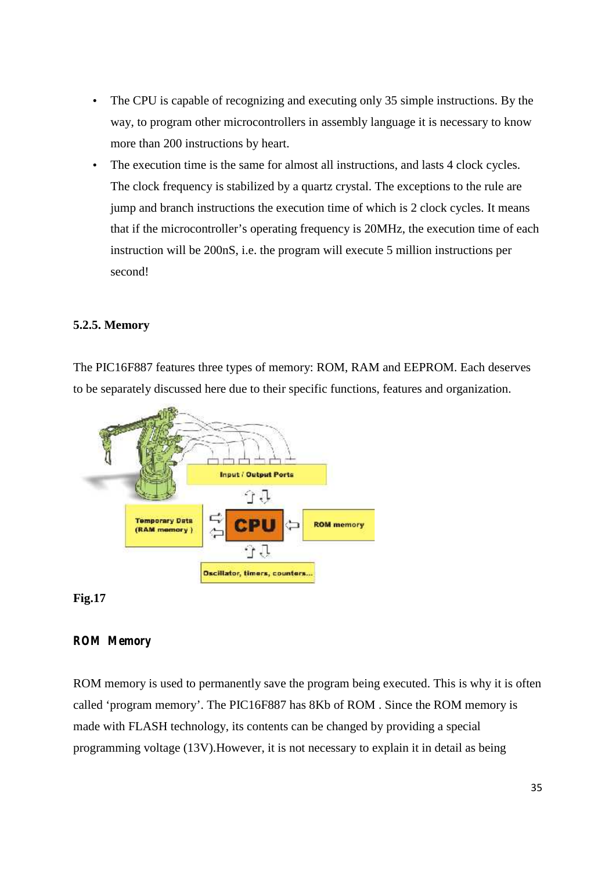- The CPU is capable of recognizing and executing only 35 simple instructions. By the way, to program other microcontrollers in assembly language it is necessary to know more than 200 instructions by heart.
- The execution time is the same for almost all instructions, and lasts 4 clock cycles. The clock frequency is stabilized by a quartz crystal. The exceptions to the rule are jump and branch instructions the execution time of which is 2 clock cycles. It means that if the microcontroller's operating frequency is 20MHz, the execution time of each instruction will be 200nS, i.e. the program will execute 5 million instructions per second!

#### **5.2.5. Memory**

The PIC16F887 features three types of memory: ROM, RAM and EEPROM. Each deserves to be separately discussed here due to their specific functions, features and organization.



#### **Fig.17**

#### *ROM Memory*

ROM memory is used to permanently save the program being executed. This is why it is often called 'program memory'. The PIC16F887 has 8Kb of ROM . Since the ROM memory is made with FLASH technology, its contents can be changed by providing a special programming voltage (13V).However, it is not necessary to explain it in detail as being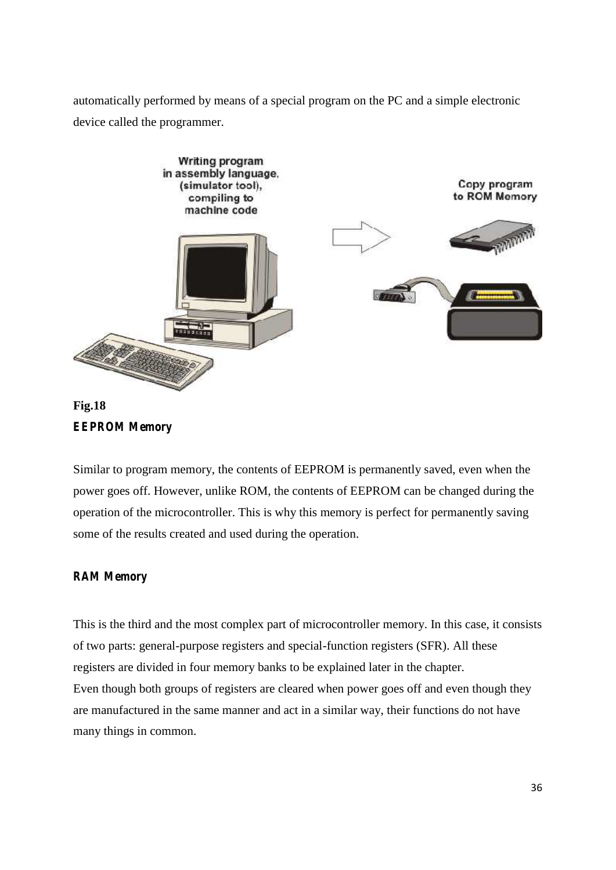automatically performed by means of a special program on the PC and a simple electronic device called the programmer.





Similar to program memory, the contents of EEPROM is permanently saved, even when the power goes off. However, unlike ROM, the contents of EEPROM can be changed during the operation of the microcontroller. This is why this memory is perfect for permanently saving some of the results created and used during the operation.

# *RAM Memory*

This is the third and the most complex part of microcontroller memory. In this case, it consists of two parts: general-purpose registers and special-function registers (SFR). All these registers are divided in four memory banks to be explained later in the chapter. Even though both groups of registers are cleared when power goes off and even though they are manufactured in the same manner and act in a similar way, their functions do not have many things in common.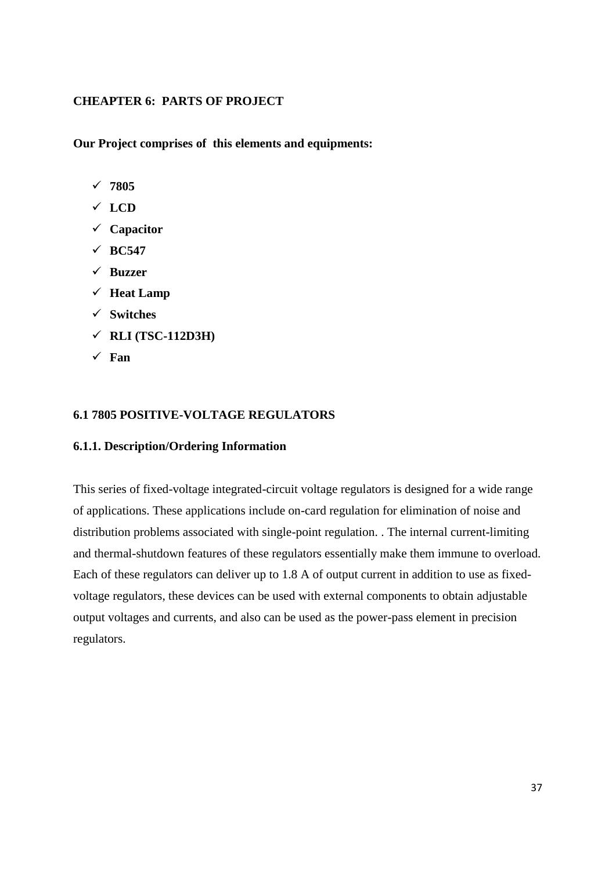### **CHEAPTER 6: PARTS OF PROJECT**

**Our Project comprises of this elements and equipments:**

- **7805**
- **LCD**
- **Capacitor**
- $\sqrt{BC547}$
- **Buzzer**
- **Heat Lamp**
- **Switches**
- **RLI (TSC-112D3H)**
- **Fan**

#### **6.1 7805 POSITIVE-VOLTAGE REGULATORS**

#### **6.1.1. Description/Ordering Information**

This series of fixed-voltage integrated-circuit voltage regulators is designed for a wide range of applications. These applications include on-card regulation for elimination of noise and distribution problems associated with single-point regulation. . The internal current-limiting and thermal-shutdown features of these regulators essentially make them immune to overload. Each of these regulators can deliver up to 1.8 A of output current in addition to use as fixed voltage regulators, these devices can be used with external components to obtain adjustable output voltages and currents, and also can be used as the power-pass element in precision regulators.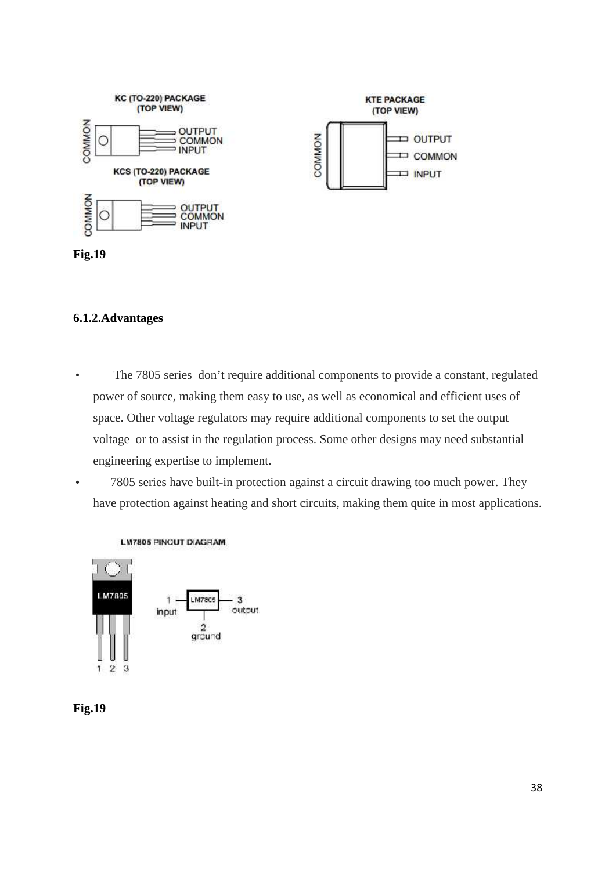



#### **6.1.2.Advantages**

- The 7805 series don't require additional components to provide a constant, regulated power of source, making them easy to use, as well as economical and efficient uses of space. Other voltage regulators may require additional components to set the output voltage or to assist in the regulation process. Some other designs may need substantial engineering expertise to implement.
- 7805 series have built-in protection against a circuit drawing too much power. They have protection against heating and short circuits, making them quite in most applications.





#### **LM7805 PINOUT DIAGRAM**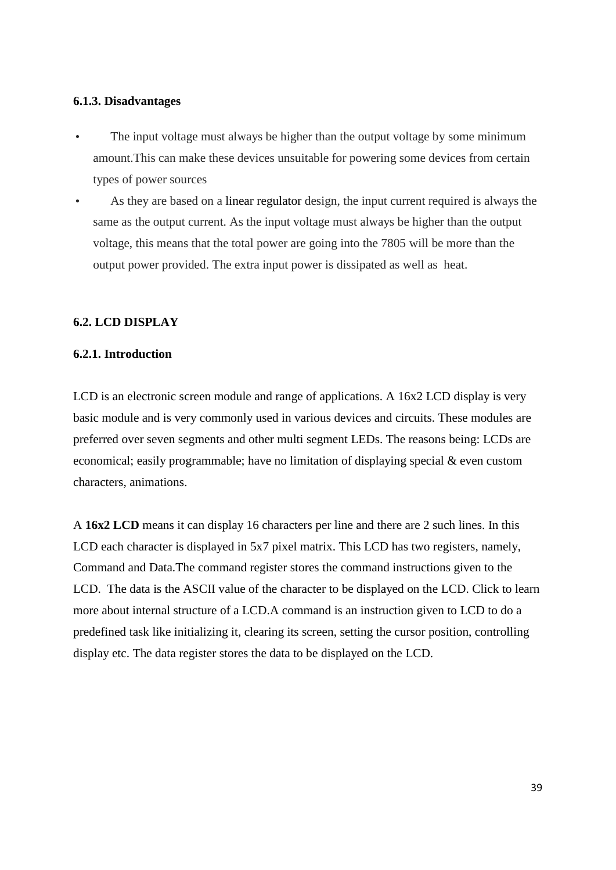#### **6.1.3. Disadvantages**

- The input voltage must always be higher than the output voltage by some minimum amount.This can make these devices unsuitable for powering some devices from certain types of power sources
- As they are based on a linear regulator design, the input current required is always the same as the output current. As the input voltage must always be higher than the output voltage, this means that the total power are going into the 7805 will be more than the output power provided. The extra input power is dissipated as well as heat.

### **6.2. LCD DISPLAY**

#### **6.2.1. Introduction**

LCD is an electronic screen module and range of applications. A 16x2 LCD display is very basic module and is very commonly used in various devices and circuits. These modules are preferred over seven segments and other multi segment LEDs. The reasons being: LCDs are economical; easily programmable; have no limitation of displaying special & even custom characters, animations.

A **16x2 LCD** means it can display 16 characters per line and there are 2 such lines. In this LCD each character is displayed in 5x7 pixel matrix. This LCD has two registers, namely, Command and Data.The command register stores the command instructions given to the LCD. The data is the ASCII value of the character to be displayed on the LCD. Click to learn more about internal structure of a LCD.A command is an instruction given to LCD to do a predefined task like initializing it, clearing its screen, setting the cursor position, controlling display etc. The data register stores the data to be displayed on the LCD.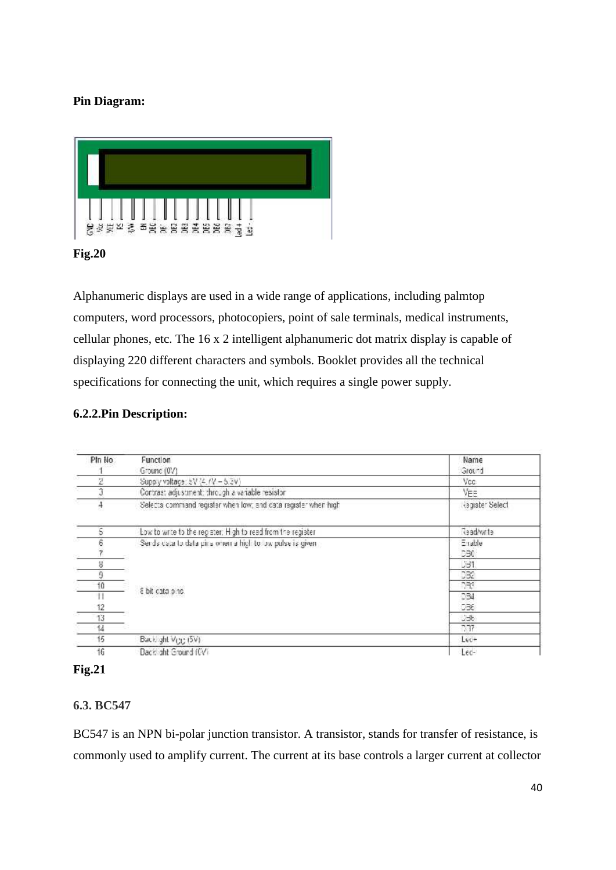# **Pin Diagram:**



### **Fig.20**

Alphanumeric displays are used in a wide range of applications, including palmtop computers, word processors, photocopiers, point of sale terminals, medical instruments, cellular phones, etc. The 16 x 2 intelligent alphanumeric dot matrix display is capable of displaying 220 different characters and symbols. Booklet provides all the technical specifications for connecting the unit, which requires a single power supply.

### **6.2.2.Pin Description:**

| PIn No.      | Function                                                       | Name            |
|--------------|----------------------------------------------------------------|-----------------|
|              | Ground (0V)                                                    | Ground          |
| 2            | Supply voltage; 5V (4, /V = 5.3V)                              | Vcc.            |
| Ĵ            | Contrast adjustment; through a variable resistor               | YЕЭ             |
| 4            | Selects command register when low; and catalregister when high | kegister Select |
| 5            | Low to write to the register: High to read from the register   | Geadwrte        |
| 6            | Sends data to data pins when a high to low pulse is given.     | Enable          |
|              |                                                                | DB0             |
| 8            |                                                                | <b>JB1</b>      |
| 9            |                                                                | 032             |
| 10           |                                                                | 773             |
| $\mathbf{H}$ | 8 bit cata pins.                                               | 034             |
| 12           |                                                                | 036             |
| 13           |                                                                | しっし             |
| 14           |                                                                | 777             |
| 15           | Back ght Vicio (5V)                                            | Lec+            |
| 16           | Dack aht Ground (CV)                                           | Lec-            |



# **6.3. BC547**

BC547 is an NPN bi-polar junction transistor. A transistor, stands for transfer of resistance, is commonly used to amplify current. The current at its base controls a larger current at collector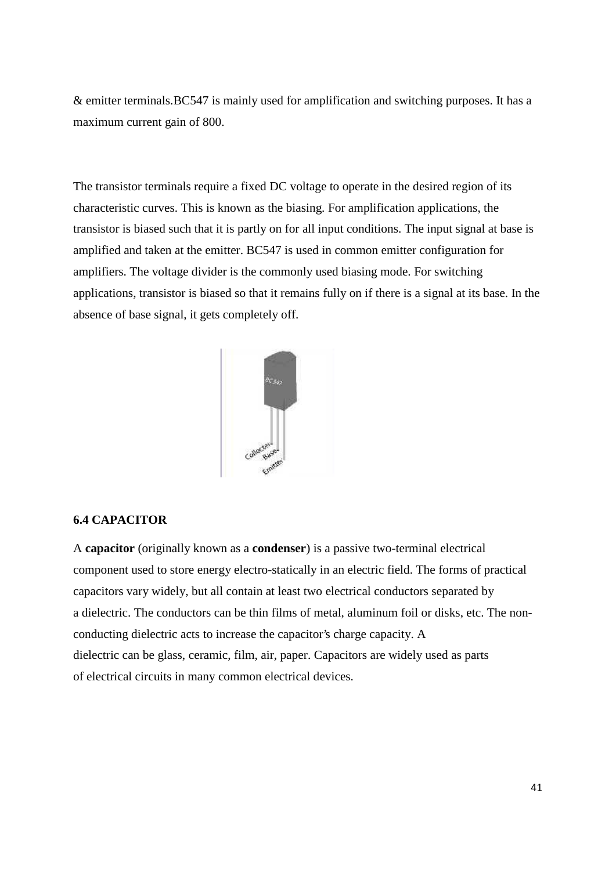& emitter terminals.BC547 is mainly used for amplification and switching purposes. It has a maximum current gain of 800.

The transistor terminals require a fixed DC voltage to operate in the desired region of its characteristic curves. This is known as the biasing. For amplification applications, the transistor is biased such that it is partly on for all input conditions. The input signal at base is amplified and taken at the emitter. BC547 is used in common emitter configuration for amplifiers. The voltage divider is the commonly used biasing mode. For switching applications, transistor is biased so that it remains fully on if there is a signal at its base. In the absence of base signal, it gets completely off.



#### **6.4 CAPACITOR**

A **capacitor** (originally known as a **condenser**) is a passive two-terminal electrical component used to store energy electro-statically in an electric field. The forms of practical capacitors vary widely, but all contain at least two electrical conductors separated by a dielectric. The conductors can be thin films of metal, aluminum foil or disks, etc. The non conducting dielectric acts to increase the capacitor's charge capacity. A dielectric can be glass, ceramic, film, air, paper. Capacitors are widely used as parts of electrical circuits in many common electrical devices.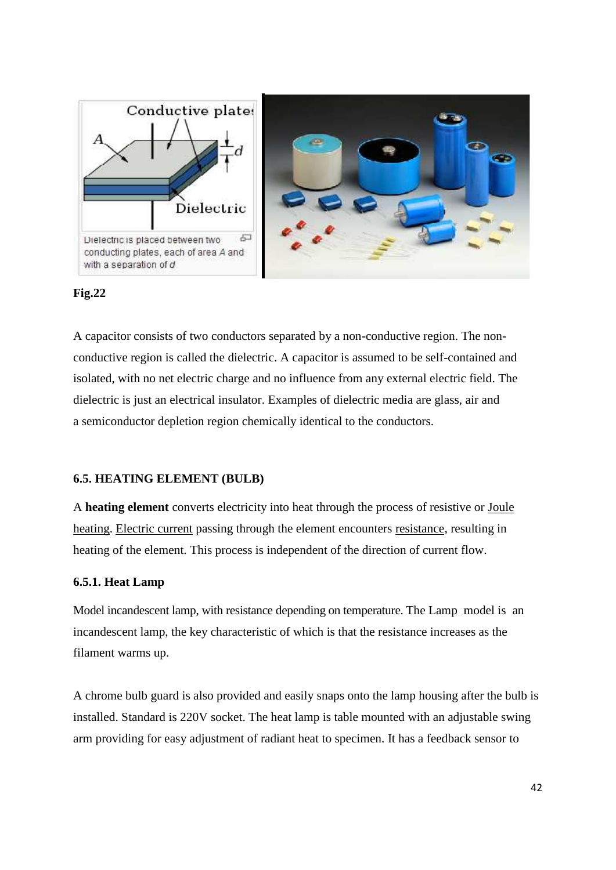

#### **Fig.22**

A capacitor consists of two conductors separated by a non-conductive region. The non conductive region is called the dielectric. A capacitor is assumed to be self-contained and isolated, with no net electric charge and no influence from any external electric field. The dielectric is just an electrical insulator. Examples of dielectric media are glass, air and a semiconductor depletion region chemically identical to the conductors.

#### **6.5. HEATING ELEMENT (BULB)**

A **heating element** converts electricity into heat through the process of resistive or Joule heating. Electric current passing through the element encounters resistance, resulting in heating of the element. This process is independent of the direction of current flow.

#### **6.5.1. Heat Lamp**

Model incandescent lamp, with resistance depending on temperature. The Lamp model is an incandescent lamp, the key characteristic of which is that the resistance increases as the filament warms up.

A chrome bulb guard is also provided and easily snaps onto the lamp housing after the bulb is installed. Standard is 220V socket. The heat lamp is table mounted with an adjustable swing arm providing for easy adjustment of radiant heat to specimen. It has a feedback sensor to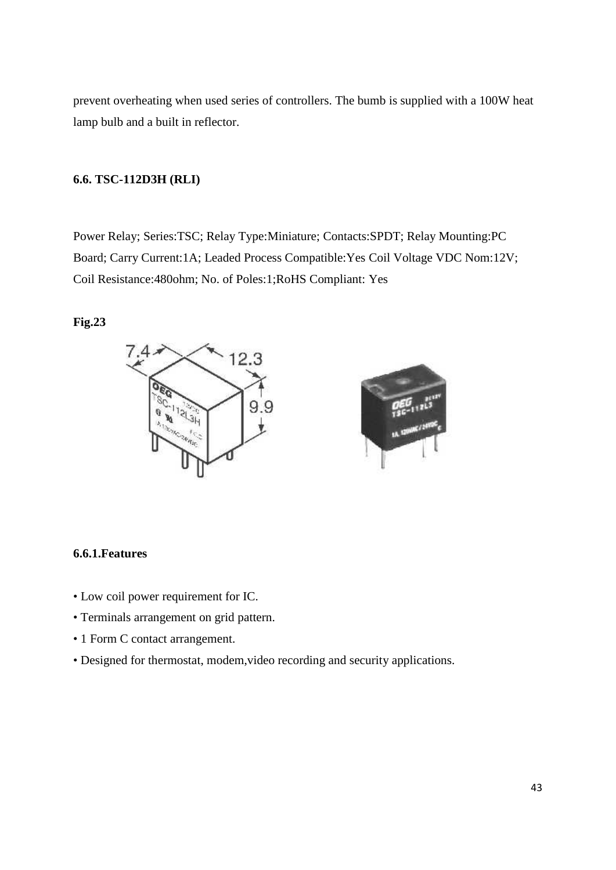prevent overheating when used series of controllers. The bumb is supplied with a 100W heat lamp bulb and a built in reflector.

#### **6.6. TSC-112D3H (RLI)**

Power Relay; Series:TSC; Relay Type:Miniature; Contacts:SPDT; Relay Mounting:PC Board; Carry Current:1A; Leaded Process Compatible:Yes Coil Voltage VDC Nom:12V; Coil Resistance:480ohm; No. of Poles:1;RoHS Compliant: Yes

#### **Fig.23**





#### **6.6.1.Features**

- Low coil power requirement for IC.
- Terminals arrangement on grid pattern.
- 1 Form C contact arrangement.
- Designed for thermostat, modem,video recording and security applications.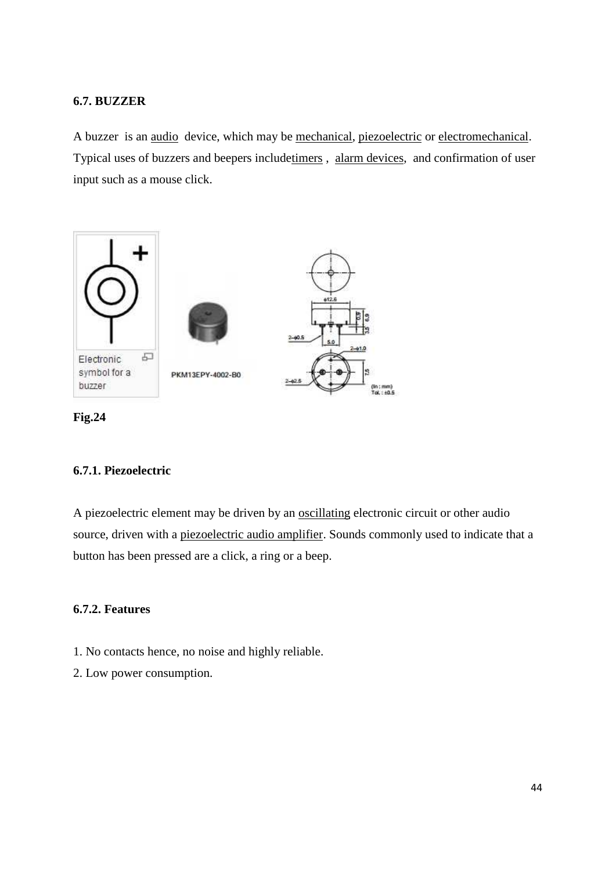# **6.7. BUZZER**

A buzzer is an audio device, which may be mechanical, piezoelectric or electromechanical. Typical uses of buzzers and beepers includetimers , alarm devices, and confirmation of user input such as a mouse click.



**Fig.24**

# **6.7.1. Piezoelectric**

A piezoelectric element may be driven by an oscillating electronic circuit or other audio source, driven with a piezoelectric audio amplifier. Sounds commonly used to indicate that a button has been pressed are a click, a ring or a beep.

# **6.7.2. Features**

- 1. No contacts hence, no noise and highly reliable.
- 2. Low power consumption.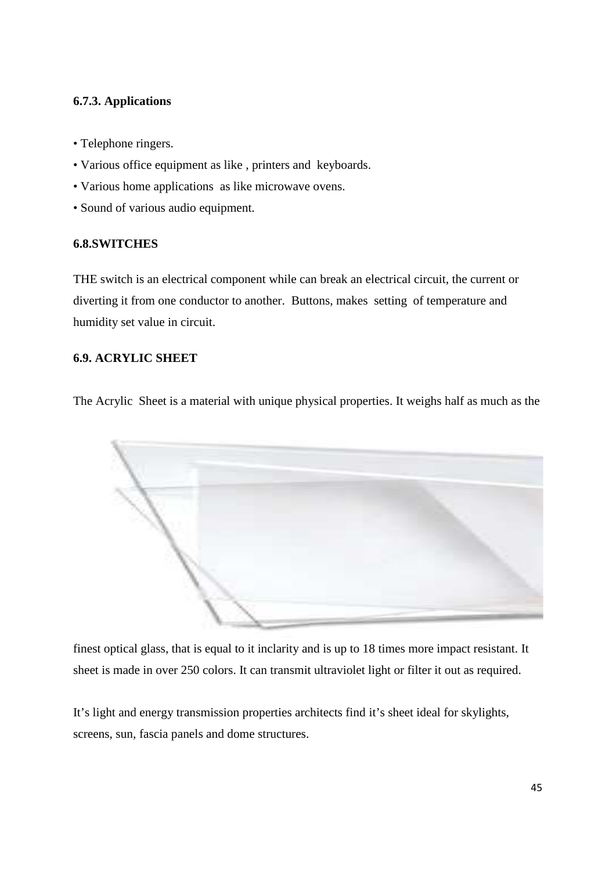# **6.7.3. Applications**

- Telephone ringers.
- Various office equipment as like , printers and keyboards.
- Various home applications as like microwave ovens.
- Sound of various audio equipment.

### **6.8.SWITCHES**

THE switch is an electrical component while can break an electrical circuit, the current or diverting it from one conductor to another. Buttons, makes setting of temperature and humidity set value in circuit.

# **6.9. ACRYLIC SHEET**

The Acrylic Sheet is a material with unique physical properties. It weighs half as much as the



finest optical glass, that is equal to it inclarity and is up to 18 times more impact resistant. It sheet is made in over 250 colors. It can transmit ultraviolet light or filter it out as required.

It's light and energy transmission properties architects find it's sheet ideal for skylights, screens, sun, fascia panels and dome structures.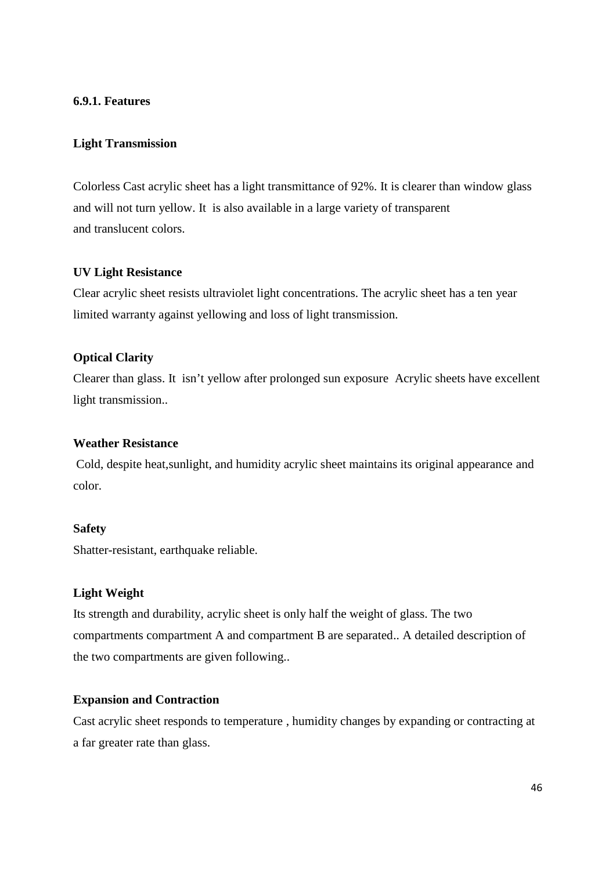#### **6.9.1. Features**

# **Light Transmission**

Colorless Cast acrylic sheet has a light transmittance of 92%. It is clearer than window glass and will not turn yellow. It is also available in a large variety of transparent and translucent colors.

#### **UV Light Resistance**

Clear acrylic sheet resists ultraviolet light concentrations. The acrylic sheet has a ten year limited warranty against yellowing and loss of light transmission.

### **Optical Clarity**

Clearer than glass. It isn't yellow after prolonged sun exposure Acrylic sheets have excellent light transmission..

#### **Weather Resistance**

Cold, despite heat,sunlight, and humidity acrylic sheet maintains its original appearance and color.

#### **Safety**

Shatter-resistant, earthquake reliable.

#### **Light Weight**

Its strength and durability, acrylic sheet is only half the weight of glass. The two compartments compartment A and compartment B are separated.. A detailed description of the two compartments are given following..

#### **Expansion and Contraction**

Cast acrylic sheet responds to temperature , humidity changes by expanding or contracting at a far greater rate than glass.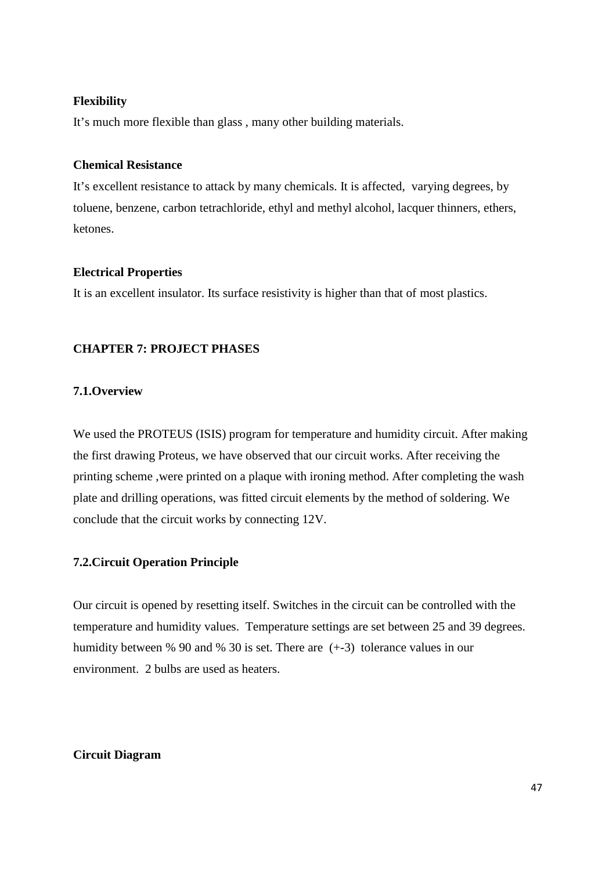#### **Flexibility**

It's much more flexible than glass , many other building materials.

#### **Chemical Resistance**

It's excellent resistance to attack by many chemicals. It is affected, varying degrees, by toluene, benzene, carbon tetrachloride, ethyl and methyl alcohol, lacquer thinners, ethers, ketones.

### **Electrical Properties**

It is an excellent insulator. Its surface resistivity is higher than that of most plastics.

# **CHAPTER 7: PROJECT PHASES**

# **7.1.Overview**

We used the PROTEUS (ISIS) program for temperature and humidity circuit. After making the first drawing Proteus, we have observed that our circuit works. After receiving the printing scheme ,were printed on a plaque with ironing method. After completing the wash plate and drilling operations, was fitted circuit elements by the method of soldering. We conclude that the circuit works by connecting 12V.

# **7.2.Circuit Operation Principle**

Our circuit is opened by resetting itself. Switches in the circuit can be controlled with the temperature and humidity values. Temperature settings are set between 25 and 39 degrees. humidity between % 90 and % 30 is set. There are (+-3) tolerance values in our environment. 2 bulbs are used as heaters.

#### **Circuit Diagram**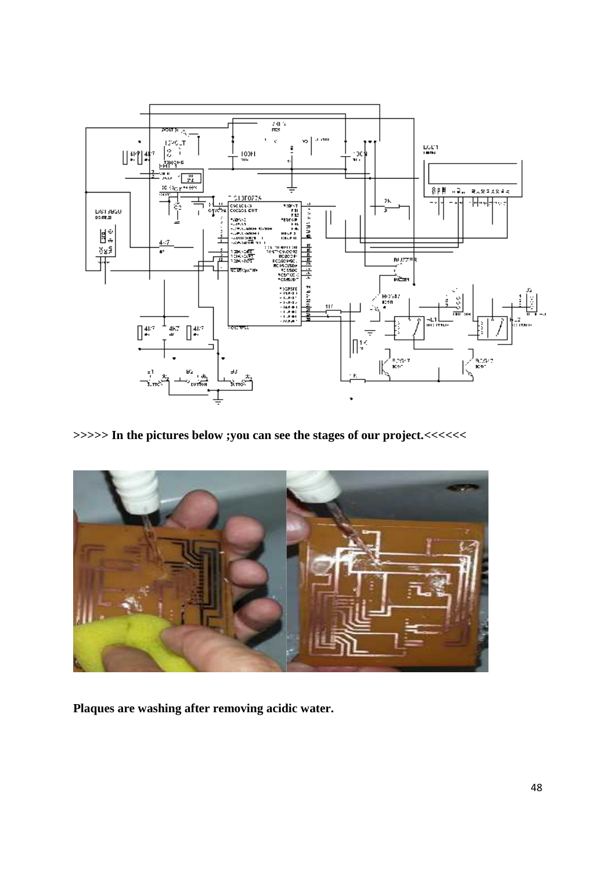

**>>>>> In the pictures below ;you can see the stages of our project.<<<<<<**



**Plaques are washing after removing acidic water.**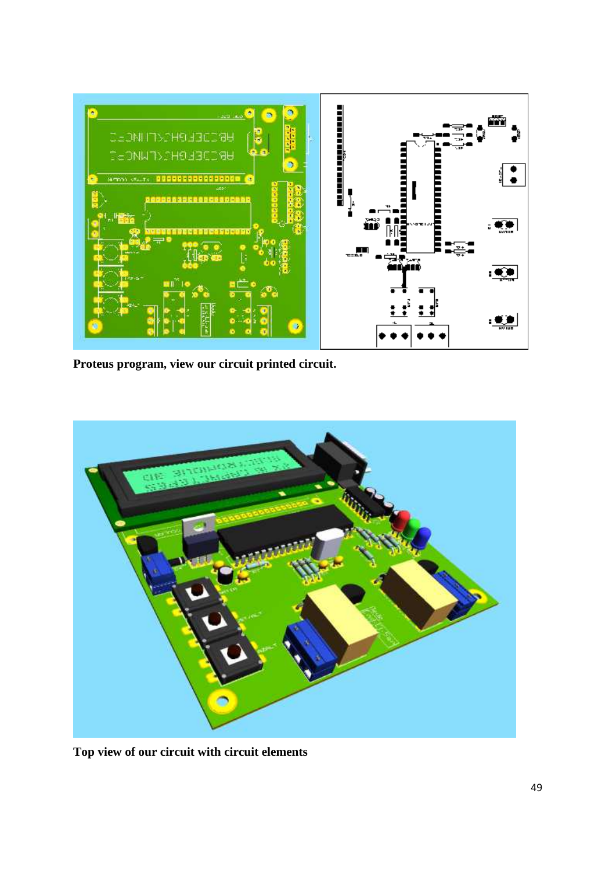

**Proteus program, view our circuit printed circuit.**



**Top view of our circuit with circuit elements**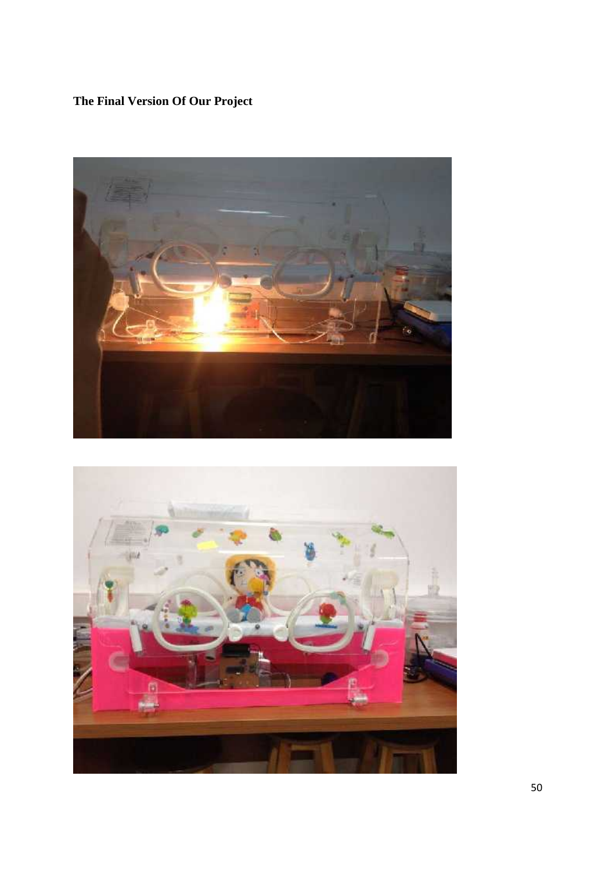# **The Final Version Of Our Project**



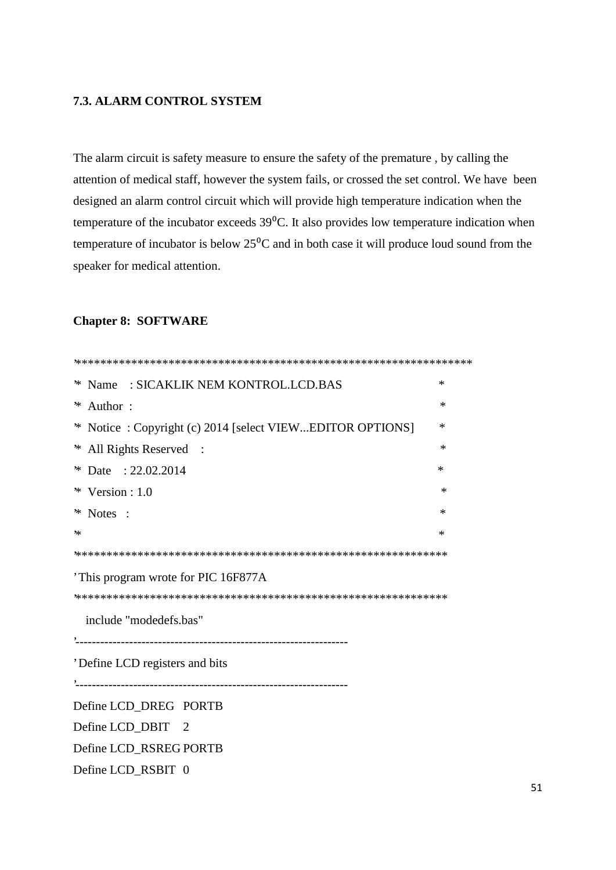# **7.3. ALARM CONTROL SYSTEM**

The alarm circuit is safety measure to ensure the safety of the premature , by calling the attention of medical staff, however the system fails, or crossed the set control. We have been designed an alarm control circuit which will provide high temperature indication when the temperature of the incubator exceeds  $39^{\circ}$ C. It also provides low temperature indication when temperature of incubator is below  $25^{\circ}$ C and in both case it will produce loud sound from the speaker for medical attention.

#### **Chapter 8: SOFTWARE**

| * Name: SICAKLIK NEM KONTROL.LCD.BAS                     | ∗      |
|----------------------------------------------------------|--------|
| ∗<br>Author:                                             | *      |
| * Notice: Copyright (c) 2014 [select VIEWEDITOR OPTIONS] | ∗      |
| * All Rights Reserved :                                  | ∗      |
| * Date: 22.02.2014                                       | $\ast$ |
| $*$ Version : 1.0                                        | ∗      |
| * Notes :                                                | *      |
| ₩                                                        | ∗      |
|                                                          |        |
| 'This program wrote for PIC 16F877A                      |        |
|                                                          |        |
| include "modedefs.bas"                                   |        |
|                                                          |        |
| 'Define LCD registers and bits                           |        |
|                                                          |        |
| Define LCD_DREG PORTB                                    |        |
| Define LCD_DBIT<br>$\overline{2}$                        |        |
| Define LCD_RSREG PORTB                                   |        |
| Define LCD_RSBIT 0                                       |        |
|                                                          |        |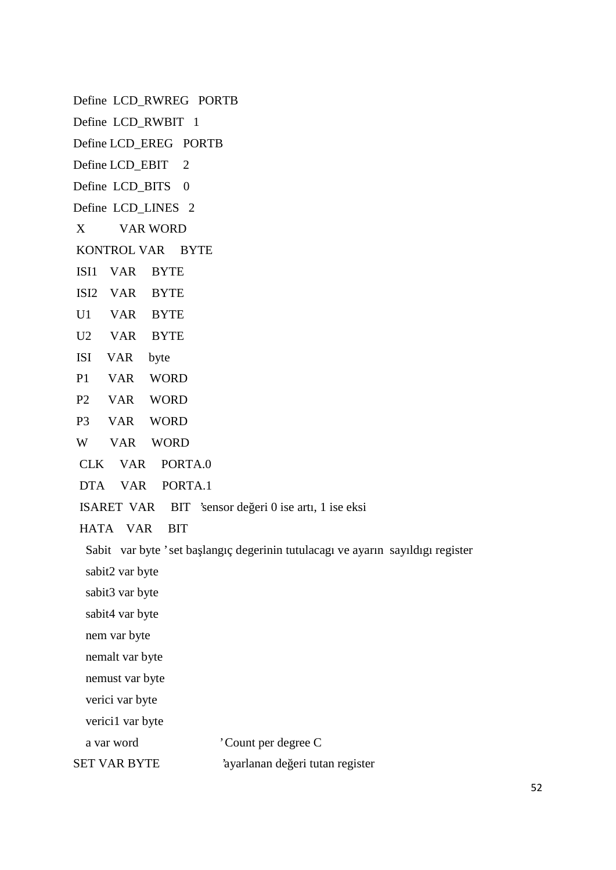Define LCD\_RWREG PORTB Define LCD RWBIT 1 Define LCD\_EREG PORTB Define LCD\_EBIT 2 Define LCD\_BITS 0 Define LCD\_LINES 2 X VAR WORD KONTROL VAR BYTE ISI1 VAR BYTE ISI2 VAR BYTE U1 VAR BYTE U2 VAR BYTE ISI VAR byte P1 VAR WORD P2 VAR WORD P3 VAR WORD W VAR WORD CLK VAR PORTA.0 DTA VAR PORTA.1 ISARET VAR BIT 'sensor de eri 0 ise artı, 1 ise eksi HATA VAR BIT Sabit var byte 'set ba langıç degerinin tutulacagı ve ayarın sayıldıgı register sabit2 var byte sabit3 var byte sabit4 var byte nem var byte nemalt var byte nemust var byte verici var byte verici1 var byte a var word 'Count per degree C SET VAR BYTE 'ayarlanan de eri tutan register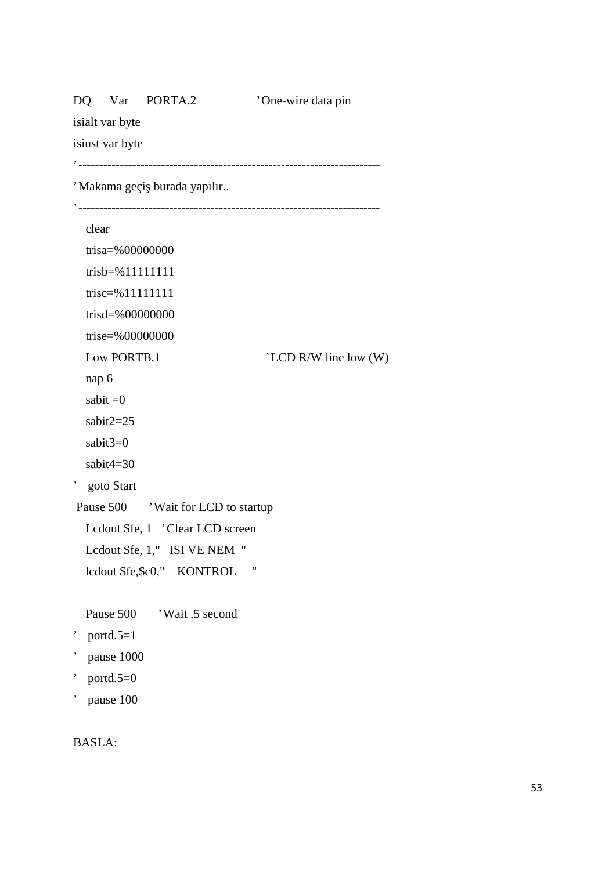| Var PORTA.2<br>DQ                 | 'One-wire data pin    |
|-----------------------------------|-----------------------|
| isialt var byte                   |                       |
| isiust var byte                   |                       |
|                                   |                       |
| 'Makama geçi burada yapılır       |                       |
|                                   |                       |
| clear                             |                       |
| trisa=%00000000                   |                       |
| trisb=%11111111                   |                       |
| trisc=%11111111                   |                       |
| trisd=%00000000                   |                       |
| trise=%00000000                   |                       |
| Low PORTB.1                       | 'LCD R/W line low (W) |
| nap 6                             |                       |
| sabit $=0$                        |                       |
| sabit $2=25$                      |                       |
| sabit $3=0$                       |                       |
| sabit $4=30$                      |                       |
| ۰,<br>goto Start                  |                       |
| Pause 500 Wait for LCD to startup |                       |
| Lcdout \$fe, 1 'Clear LCD screen  |                       |
| Lcdout \$fe, 1," ISI VE NEM "     |                       |
| lcdout \$fe,\$c0," KONTROL        | 11                    |
|                                   |                       |
| Pause 500<br>'Wait .5 second      |                       |
| portd. $5=1$                      |                       |
| pause 1000                        |                       |
| portd. $5=0$                      |                       |

' pause 100

# BASLA: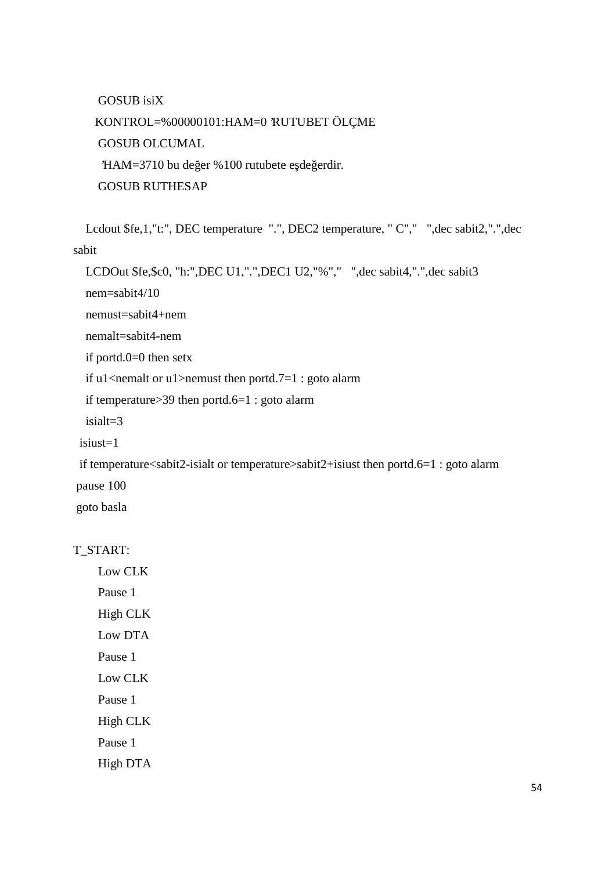GOSUB isiX

KONTROL=%00000101:HAM=0 'RUTUBET ÖLÇME GOSUB OLCUMAL  $HAM = 3710$  bu de er %100 rutubete e de erdir. GOSUB RUTHESAP

Lcdout \$fe,1,"t:", DEC temperature ".", DEC2 temperature, " C"," ",dec sabit2,".",dec sabit

```
LCDOut $fe,$c0, "h:",DEC U1,".",DEC1 U2,"%"," ",dec sabit4,".",dec sabit3
```
nem=sabit4/10

nemust=sabit4+nem

nemalt=sabit4-nem

if portd.0=0 then setx

if u1<nemalt or u1>nemust then portd.7=1 : goto alarm

if temperature>39 then portd.6=1 : goto alarm

isialt=3

isiust=1

```
if temperature<sabit2-isialt or temperature>sabit2+isiust then portd.6=1 : goto alarm
pause 100
```
goto basla

#### T\_START:

Low CLK Pause 1

High CLK Low DTA

Pause 1 Low CLK

Pause 1

High CLK

Pause 1

High DTA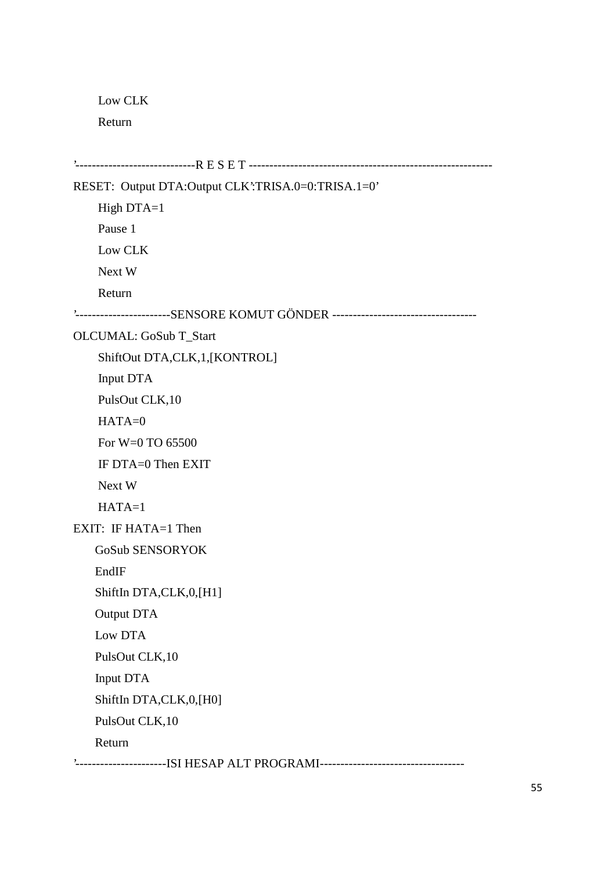Low CLK

Return

```
'-----------------------------R E S E T ----------------------------------------------------------- RESET: Output DTA:Output CLK':TRISA.0=0:TRISA.1=0'
    High DTA=1
    Pause 1
    Low CLK
    Next W
    Return
'-----------------------SENSORE KOMUT GÖNDER ----------------------------------- OLCUMAL: GoSub T_Start
    ShiftOut DTA,CLK,1,[KONTROL]
    Input DTA
    PulsOut CLK,10
    HATA=0For W=0 TO 65500
    IF DTA=0 Then EXIT
    Next W
    HATA=1EXIT: IF HATA=1 Then
    GoSub SENSORYOK
    EndIF
    ShiftIn DTA,CLK,0,[H1]
    Output DTA
    Low DTA
    PulsOut CLK,10
    Input DTA
    ShiftIn DTA,CLK,0,[H0]
    PulsOut CLK,10
    Return
'----------------------ISI HESAP ALT PROGRAMI-----------------------------------
```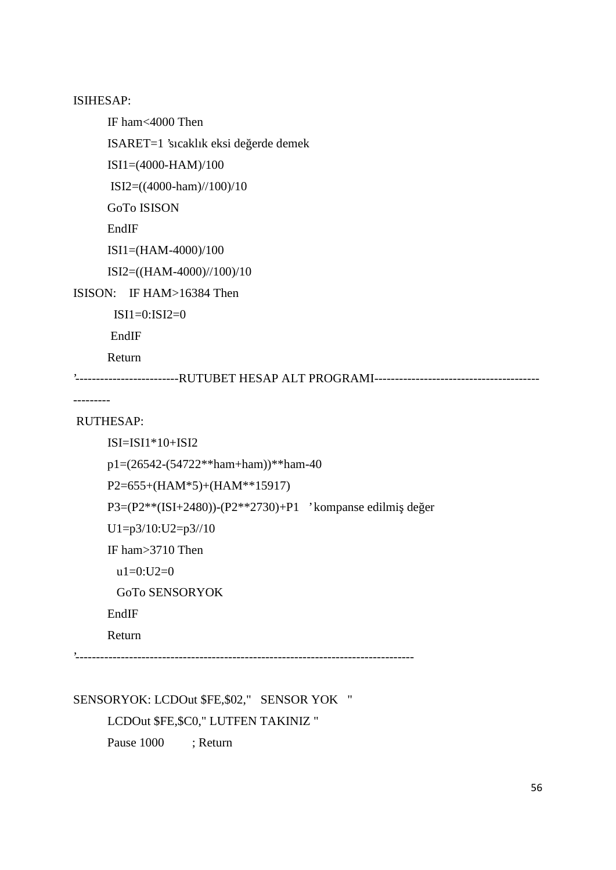ISIHESAP:

IF ham<4000 Then

 $ISARET=1$ 'sıcaklık eksi de erde demek

ISI1=(4000-HAM)/100

ISI2=((4000-ham)//100)/10

GoTo ISISON

EndIF

```
ISI1=(HAM-4000)/100
```
ISI2=((HAM-4000)//100)/10

ISISON: IF HAM>16384 Then

 $ISI1=0:ISI2=0$ 

EndIF

Return

'-------------------------RUTUBET HESAP ALT PROGRAMI----------------------------------------

---------

#### RUTHESAP:

```
ISI=ISI1*10+ISI2
```

```
p1=(26542-(54722**ham+ham))**ham-40
```

```
P2=655+(HAM*5)+(HAM**15917)
```
P3=(P2\*\*(ISI+2480))-(P2\*\*2730)+P1 ' kompanse edilmi de er

```
U1=p3/10:U2=p3/10
```
IF ham>3710 Then

 $u1=0:U2=0$ 

```
GoTo SENSORYOK
```
#### EndIF

Return

'----------------------------------------------------------------------------------

SENSORYOK: LCDOut \$FE,\$02," SENSOR YOK "

LCDOut \$FE,\$C0," LUTFEN TAKINIZ "

Pause 1000 ; Return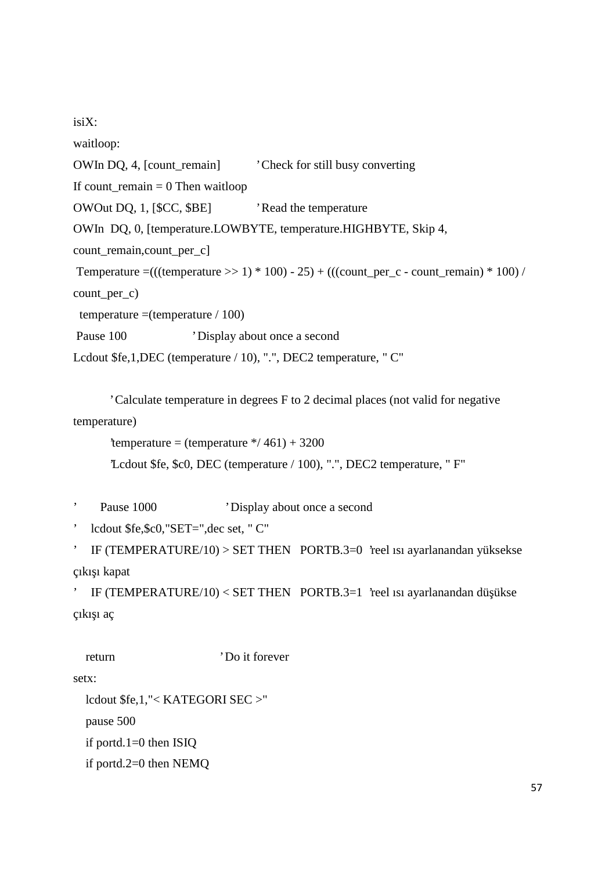isiX:

waitloop:

OWIn DQ, 4, [count\_remain] Check for still busy converting

If count remain  $= 0$  Then waitloop

OWOut DQ, 1, [\$CC, \$BE] Read the temperature

OWIn DQ, 0, [temperature.LOWBYTE, temperature.HIGHBYTE, Skip 4,

count\_remain,count\_per\_c]

```
Temperature =(((temperature >> 1) * 100) - 25) + (((count_per_c - count_remain) * 100) /
```
count\_per\_c)

temperature  $=(\text{temperature} / 100)$ 

Pause 100 <sup>'</sup> Display about once a second

Lcdout \$fe,1,DEC (temperature / 10), ".", DEC2 temperature, " C"

' Calculate temperature in degrees F to 2 decimal places (not valid for negative temperature)

'temperature = (temperature  $\frac{*}{461}$ ) + 3200

'Lcdout \$fe, \$c0, DEC (temperature / 100), ".", DEC2 temperature, " F"

Pause 1000 <sup>'</sup> Display about once a second

' lcdout \$fe,\$c0,"SET=",dec set, " C"

```
' IF (TEMPERATURE/10) > SET THEN PORTB.3=0 'reel ısı ayarlanandan yüksekse
çıkı 1 kapat
```

```
IF (TEMPERATURE/10) < SET THEN PORTB.3=1 'reel isi ayarlanandan dü ükse
çıkı 1 aç
```

```
return 'Do it forever'
setx:
 lcdout $fe,1,"< KATEGORI SEC >"
 pause 500
 if portd.1=0 then ISIQ
 if portd.2=0 then NEMQ
```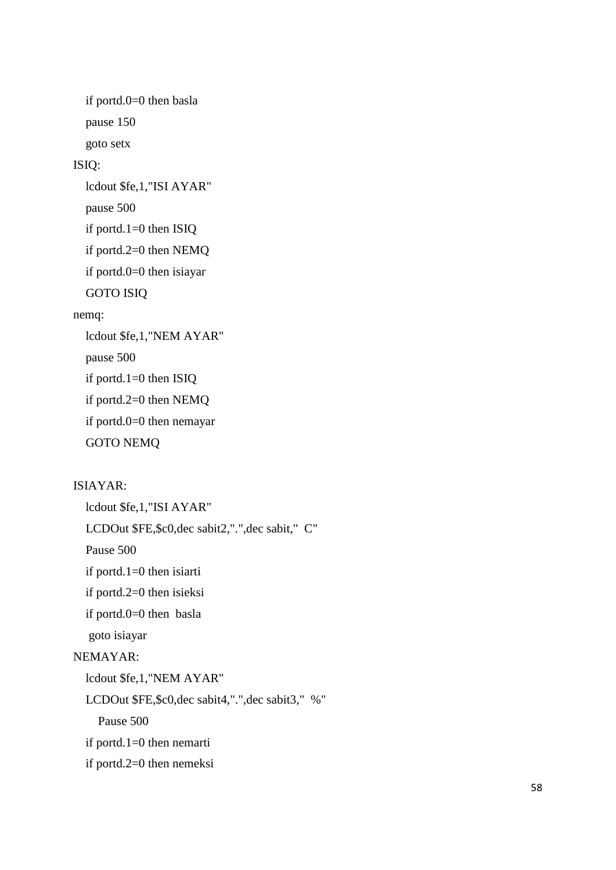if portd.0=0 then basla pause 150 goto setx ISIQ: lcdout \$fe,1,"ISI AYAR" pause 500 if portd.1=0 then ISIQ if portd.2=0 then NEMQ if portd.0=0 then isiayar GOTO ISIQ nemq: lcdout \$fe,1,"NEM AYAR" pause 500 if portd.1=0 then ISIQ if portd.2=0 then NEMQ if portd.0=0 then nemayar GOTO NEMQ

### ISIAYAR:

lcdout \$fe,1,"ISI AYAR" LCDOut \$FE,\$c0,dec sabit2,".",dec sabit," C" Pause 500 if portd.1=0 then isiarti if portd.2=0 then isieksi if portd.0=0 then basla goto isiayar NEMAYAR: lcdout \$fe,1,"NEM AYAR" LCDOut \$FE,\$c0,dec sabit4,".",dec sabit3," %" Pause 500 if portd.1=0 then nemarti if portd.2=0 then nemeksi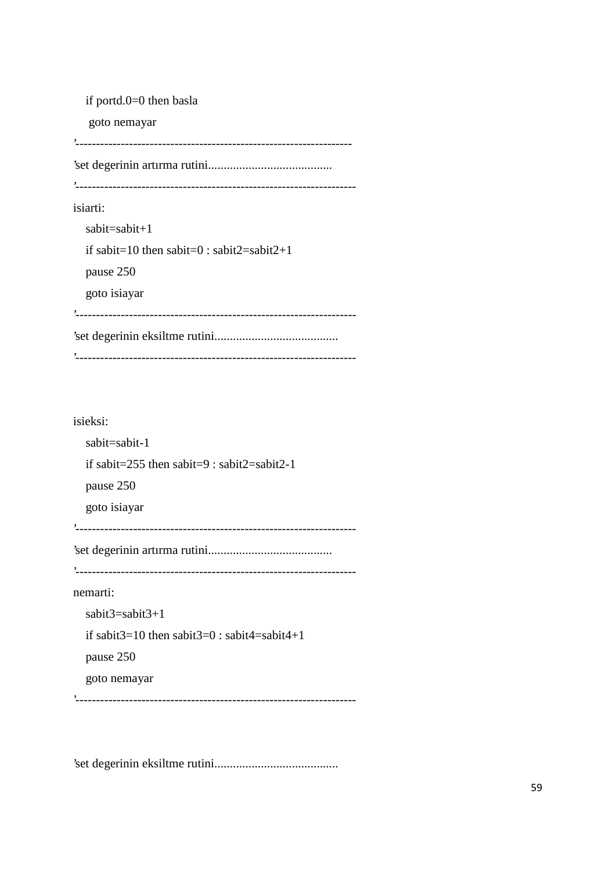if portd.0=0 then basla goto nemayar '------------------------------------------------------------------- 'set degerinin artırma rutini........................................ '------------------------------------------------------------------- isiarti: sabit=sabit+1 if sabit=10 then sabit=0 : sabit2=sabit2+1 pause 250 goto isiayar '-------------------------------------------------------------------- 'set degerinin eksiltme rutini........................................ '--------------------------------------------------------------------

#### isieksi:

sabit=sabit-1 if sabit=255 then sabit=9 : sabit2=sabit2-1 pause 250 goto isiayar '-------------------------------------------------------------------- 'set degerinin artırma rutini........................................ '------------------------------------------------------------------- nemarti: sabit3=sabit3+1 if sabit $3=10$  then sabit $3=0$ : sabit $4=$ sabit $4+1$ pause 250 goto nemayar '--------------------------------------------------------------------

'set degerinin eksiltme rutini........................................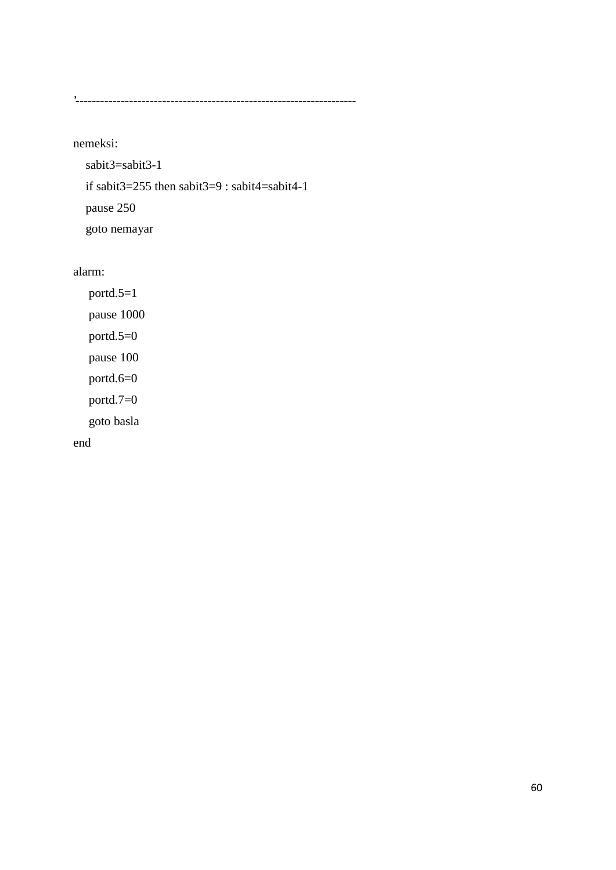'--------------------------------------------------------------------

nemeksi:

sabit3=sabit3-1 if sabit3=255 then sabit3=9 : sabit4=sabit4-1 pause 250 goto nemayar

alarm:

portd.5=1 pause 1000 portd.5=0 pause 100 portd.6=0 portd.7=0 goto basla end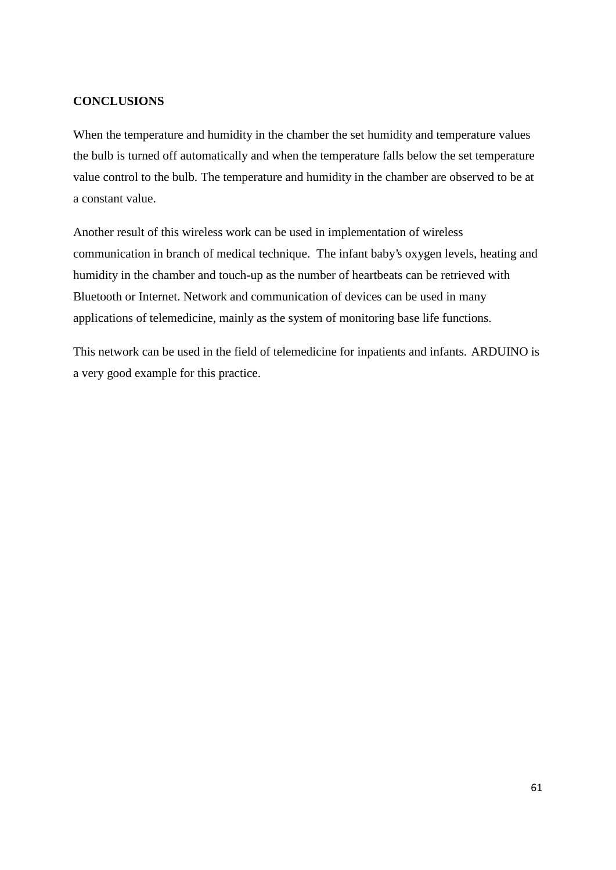# **CONCLUSIONS**

When the temperature and humidity in the chamber the set humidity and temperature values the bulb is turned off automatically and when the temperature falls below the set temperature value control to the bulb. The temperature and humidity in the chamber are observed to be at a constant value.

Another result of this wireless work can be used in implementation of wireless communication in branch of medical technique. The infant baby's oxygen levels, heating and humidity in the chamber and touch-up as the number of heartbeats can be retrieved with Bluetooth or Internet. Network and communication of devices can be used in many applications of telemedicine, mainly as the system of monitoring base life functions.

This network can be used in the field of telemedicine for inpatients and infants. ARDUINO is a very good example for this practice.